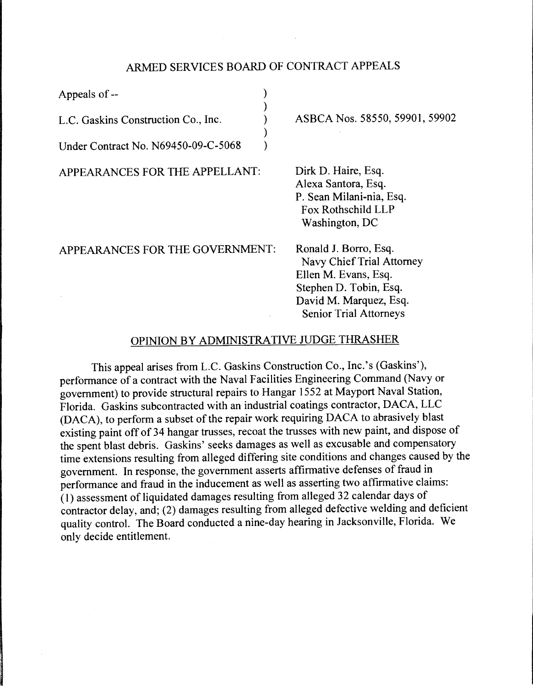# ARMED SERVICES BOARD OF CONTRACT APPEALS

) ) ) ) )

Appeals of --

L.C. Gaskins Construction Co., Inc.

Under Contract No. N69450-09-C-5068

APPEARANCES FOR THE APPELLANT:

ASBCA Nos. 58550, 59901, 59902

Dirk D. Haire, Esq. Alexa Santora, Esq. P. Sean Milani-nia, Esq. Fox Rothschild LLP Washington, DC

APPEARANCES FOR THE GOVERNMENT:

Ronald J. Borro, Esq. Navy Chief Trial Attorney Ellen M. Evans, Esq. Stephen D. Tobin, Esq. David M. Marquez, Esq. Senior Trial Attorneys

# OPINION BY ADMINISTRATIVE JUDGE THRASHER

This appeal arises from L.C. Gaskins Construction Co., Inc.'s (Gaskins'), performance of a contract with the Naval Facilities Engineering Command (Navy or government) to provide structural repairs to Hangar 1552 at Mayport Naval Station, Florida. Gaskins subcontracted with an industrial coatings contractor, DACA, LLC (DACA), to perform a subset of the repair work requiring DACA to abrasively blast existing paint off of 34 hangar trusses, recoat the trusses with new paint, and dispose of the spent blast debris. Gaskins' seeks damages as well as excusable and compensatory time extensions resulting from alleged differing site conditions and changes caused by the government. In response, the government asserts affirmative defenses of fraud in performance and fraud in the inducement as well as asserting two affirmative claims: (1) assessment of liquidated damages resulting from alleged 32 calendar days of contractor delay, and; (2) damages resulting from alleged defective welding and deficient quality control. The Board conducted a nine-day hearing in Jacksonville, Florida. We only decide entitlement.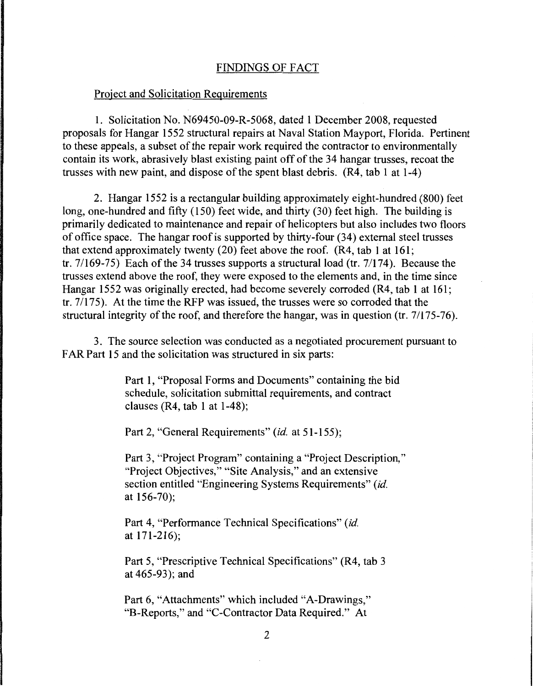## FINDINGS OF FACT

## Project and Solicitation Requirements

1. Solicitation No. N69450-09-R-5068, dated 1 December 2008, requested proposals for Hangar 1552 structural repairs at Naval Station Mayport, Florida. Pertinent to these appeals, a subset of the repair work required the contractor to environmentally contain its work, abrasively blast existing paint off of the 34 hangar trusses, recoat the trusses with new paint, and dispose of the spent blast debris. (R4, tab 1 at 1-4)

2. Hangar 1552 is a rectangular building approximately eight-hundred (800) feet long, one-hundred and fifty (150) feet wide, and thirty (30) feet high. The building is primarily dedicated to maintenance and repair of helicopters but also includes two floors of office space. The hangar roof is supported by thirty-four (34) external steel trusses that extend approximately twenty  $(20)$  feet above the roof.  $(R4, tab 1at 161;$ tr. 7/169-75) Each of the 34 trusses supports a structural load (tr. 7/174). Because the trusses extend above the roof, they were exposed to the elements and, in the time since Hangar 1552 was originally erected, had become severely corroded (R4, tab 1 at 161; tr. 7/175). At the time the RFP was issued, the trusses were so corroded that the structural integrity of the roof, and therefore the hangar, was in question (tr. 7/175-76).

3. The source selection was conducted as a negotiated procurement pursuant to FAR Part 15 and the solicitation was structured in six parts:

> Part 1, "Proposal Forms and Documents" containing the bid schedule, solicitation submittal requirements, and contract clauses (R4, tab 1 at 1-48);

Part 2, "General Requirements" *(id.* at 51-155);

Part 3, "Project Program" containing a "Project Description," "Project Objectives," "Site Analysis," and an extensive section entitled "Engineering Systems Requirements" *(id.*  at 156-70);

Part 4, "Performance Technical Specifications" *(id.*  at 171-216);

Part 5, "Prescriptive Technical Specifications" (R4, tab 3 at 465-93); and

Part 6, "Attachments" which included "A-Drawings," "B-Reports," and "C-Contractor Data Required." At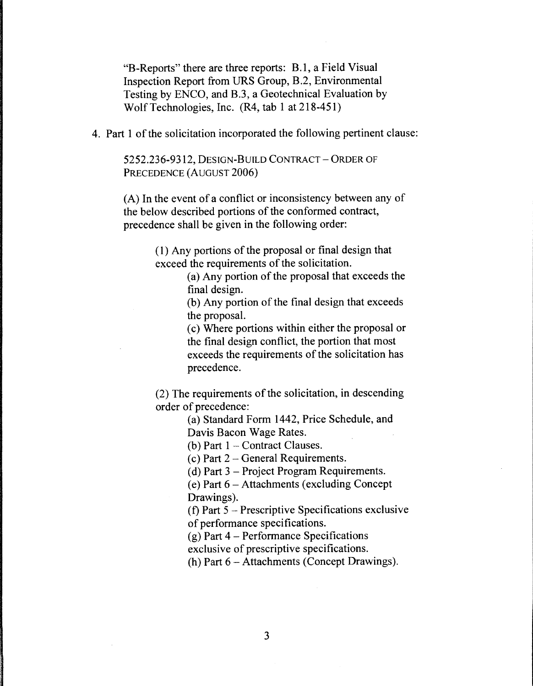"B-Reports" there are three reports: B. l, a Field Visual Inspection Report from URS Group, B.2, Environmental Testing by ENCO, and B.3, a Geotechnical Evaluation by Wolf Technologies, Inc. (R4, tab 1 at 218-451)

4. Part 1 of the solicitation incorporated the following pertinent clause:

5252.236-9312, DESIGN-BUILD CONTRACT-ORDER OF PRECEDENCE (AUGUST 2006)

(A) In the event of a conflict or inconsistency between any of the below described portions of the conformed contract, precedence shall be given in the following order:

> ( 1) Any portions of the proposal or final design that exceed the requirements of the solicitation.

> > (a) Any portion of the proposal that exceeds the final design.

(b) Any portion of the final design that exceeds the proposal.

( c) Where portions within either the proposal or the final design conflict, the portion that most exceeds the requirements of the solicitation has precedence.

(2) The requirements of the solicitation, in descending order of precedence:

> (a) Standard Form 1442, Price Schedule, and Davis Bacon Wage Rates.

(b) Part  $1$  – Contract Clauses.

(c) Part  $2$  – General Requirements.

(d) Part  $3$  – Project Program Requirements.

( e) Part 6 - Attachments (excluding Concept Drawings).

(f) Part 5 - Prescriptive Specifications exclusive of performance specifications.

(g) Part 4 - Performance Specifications

exclusive of prescriptive specifications.

(h) Part  $6 -$  Attachments (Concept Drawings).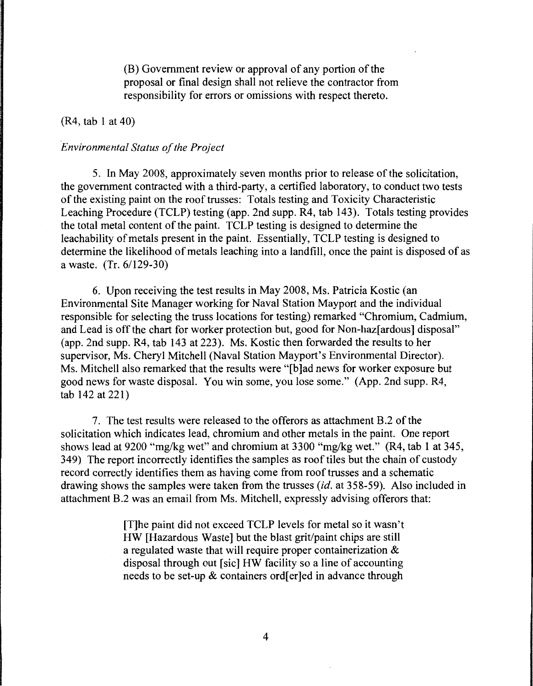(B) Government review or approval of any portion of the proposal or final design shall not relieve the contractor from responsibility for errors or omissions with respect thereto.

#### (R4, tab 1 at 40)

#### *Environmental Status of the Project*

5. In May 2008, approximately seven months prior to release of the solicitation, the government contracted with a third-party, a certified laboratory, to conduct two tests of the existing paint on the roof trusses: Totals testing and Toxicity Characteristic Leaching Procedure (TCLP) testing (app. 2nd supp. R4, tab 143). Totals testing provides the total metal content of the paint. TCLP testing is designed to determine the leachability of metals present in the paint. Essentially, TCLP testing is designed to determine the likelihood of metals leaching into a landfill, once the paint is disposed of as a waste. (Tr. 6/129-30)

6. Upon receiving the test results in May 2008, Ms. Patricia Kostic (an Environmental Site Manager working for Naval Station Mayport and the individual responsible for selecting the truss locations for testing) remarked "Chromium, Cadmium, and Lead is off the chart for worker protection but, good for Non-haz[ ardous] disposal" (app. 2nd supp. R4, tab 143 at 223). Ms. Kostic then forwarded the results to her supervisor, Ms. Cheryl Mitchell (Naval Station Mayport's Environmental Director). Ms. Mitchell also remarked that the results were "[b ]ad news for worker exposure but good news for waste disposal. You win some, you lose some." (App. 2nd supp. R4,  $tab 142 at 221$ 

7. The test results were released to the offerors as attachment B.2 of the solicitation which indicates lead, chromium and other metals in the paint. One report shows lead at 9200 "mg/kg wet" and chromium at 3300 "mg/kg wet." (R4, tab 1 at 345, 349) The report incorrectly identifies the samples as roof tiles but the chain of custody record correctly identifies them as having come from roof trusses and a schematic drawing shows the samples were taken from the trusses *(id.* at 358-59). Also included in attachment B.2 was an email from Ms. Mitchell, expressly advising offerors that:

> [T]he paint did not exceed TCLP levels for metal so it wasn't HW [Hazardous Waste] but the blast grit/paint chips are still a regulated waste that will require proper containerization & disposal through out [sic] HW facility so a line of accounting needs to be set-up & containers ord[er]ed in advance through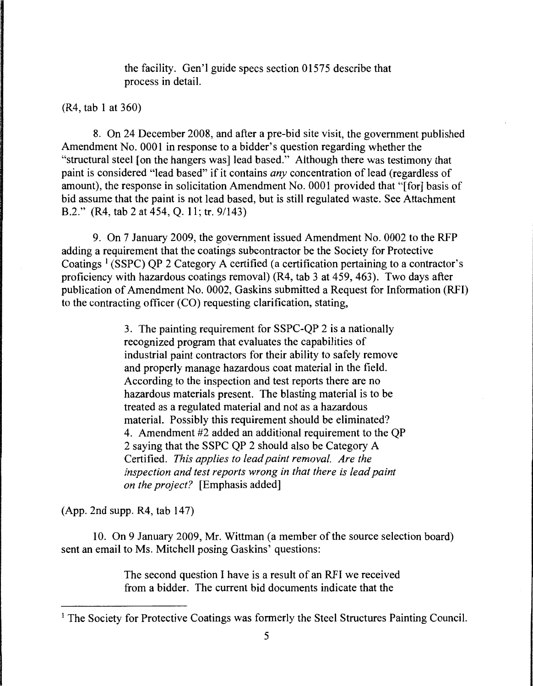the facility. Gen'l guide specs section 01575 describe that process in detail.

(R4, tab 1 at 360)

8. On 24 December 2008, and after a pre-bid site visit, the government published Amendment No. 0001 in response to a bidder's question regarding whether the "structural steel [on the hangers was] lead based." Although there was testimony that paint is considered "lead based" if it contains *any* concentration of lead (regardless of amount), the response in solicitation Amendment No. 0001 provided that "[for] basis of bid assume that the paint is not lead based, but is still regulated waste. See Attachment B.2." (R4, tab 2 at 454, Q. 11; tr. 9/143)

9. On 7 January 2009, the government issued Amendment No. 0002 to the RFP adding a requirement that the coatings subcontractor be the Society for Protective Coatings<sup>1</sup> (SSPC) QP 2 Category A certified (a certification pertaining to a contractor's proficiency with hazardous coatings removal) (R4, tab 3 at 459, 463). Two days after publication of Amendment No. 0002, Gaskins submitted a Request for Information (RFI) to the contracting officer (CO) requesting clarification, stating,

> 3. The painting requirement for SSPC-QP 2 is a nationally recognized program that evaluates the capabilities of industrial paint contractors for their ability to safely remove and properly manage hazardous coat material in the field. According to the inspection and test reports there are no hazardous materials present. The blasting material is to be treated as a regulated material and not as a hazardous material. Possibly this requirement should be eliminated? 4. Amendment #2 added an additional requirement to the QP 2 saying that the SSPC QP 2 should also be Category A Certified. *This applies to lead paint removal. Are the inspection and test reports wrong in that there is lead paint on the project?* [Emphasis added]

(App. 2nd supp. R4, tab 147)

10. On 9 January 2009, Mr. Wittman (a member of the source selection board) sent an email to Ms. Mitchell posing Gaskins' questions:

> The second question I have is a result of an RFI we received from a bidder. The current bid documents indicate that the

<sup>&</sup>lt;sup>1</sup> The Society for Protective Coatings was formerly the Steel Structures Painting Council.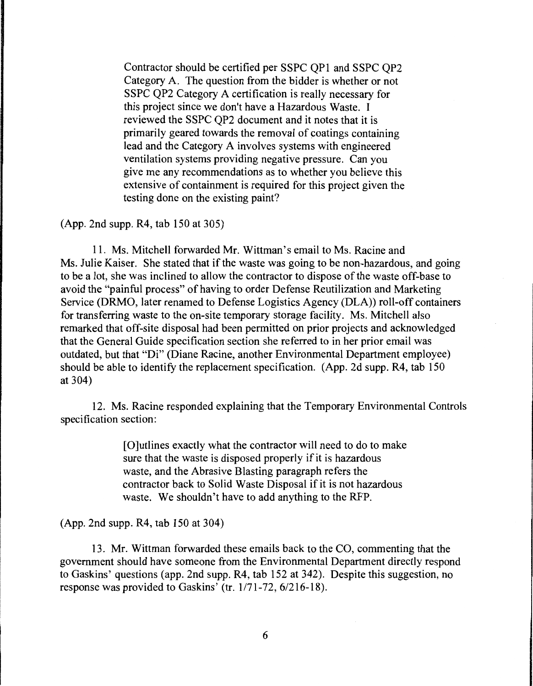Contractor should be certified per SSPC QPl and SSPC QP2 Category A. The question from the bidder is whether or not SSPC QP2 Category A certification is really necessary for this project since we don't have a Hazardous Waste. I reviewed the SSPC QP2 document and it notes that it is primarily geared towards the removal of coatings containing lead and the Category A involves systems with engineered ventilation systems providing negative pressure. Can you give me any recommendations as to whether you believe this extensive of containment is required for this project given the testing done on the existing paint?

(App. 2nd supp. R4, tab 150 at 305)

11. Ms. Mitchell forwarded Mr. Wittman's email to Ms. Racine and Ms. Julie Kaiser. She stated that if the waste was going to be non-hazardous, and going to be a lot, she was inclined to allow the contractor to dispose of the waste off-base to avoid the "painful process" of having to order Defense Reutilization and Marketing Service (DRMO, later renamed to Defense Logistics Agency (DLA)) roll-off containers for transferring waste to the on-site temporary storage facility. Ms. Mitchell also remarked that off-site disposal had been permitted on prior projects and acknowledged that the General Guide specification section she referred to in her prior email was outdated, but that "Di" (Diane Racine, another Environmental Department employee) should be able to identify the replacement specification. (App. 2d supp. R4, tab 150 at 304)

12. Ms. Racine responded explaining that the Temporary Environmental Controls specification section:

> [O]utlines exactly what the contractor will need to do to make sure that the waste is disposed properly if it is hazardous waste, and the Abrasive Blasting paragraph refers the contractor back to Solid Waste Disposal if it is not hazardous waste. We shouldn't have to add anything to the RFP.

(App. 2nd supp. R4, tab 150 at 304)

13. Mr. Wittman forwarded these emails back to the CO, commenting that the government should have someone from the Environmental Department directly respond to Gaskins' questions (app. 2nd supp. R4, tab 152 at 342). Despite this suggestion, no response was provided to Gaskins' (tr. 1/71-72, 6/216-18).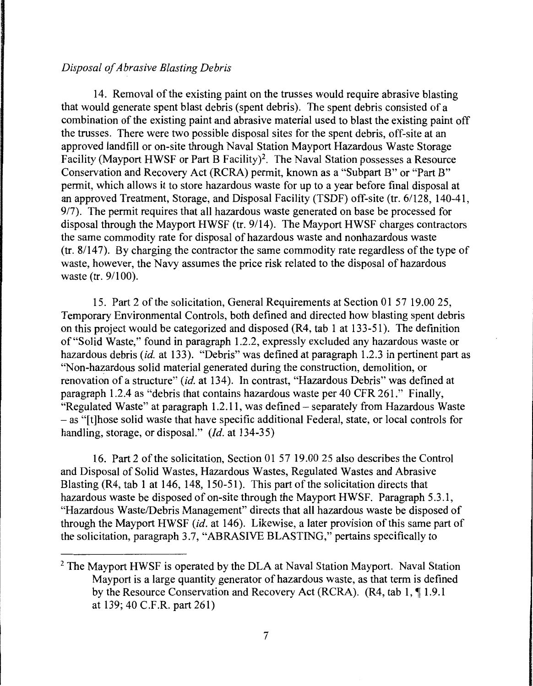# *Disposal of Abrasive Blasting Debris*

14. Removal of the existing paint on the trusses would require abrasive blasting that would generate spent blast debris (spent debris). The spent debris consisted of a combination of the existing paint and abrasive material used to blast the existing paint off the trusses. There were two possible disposal sites for the spent debris, off-site at an approved landfill or on-site through Naval Station Mayport Hazardous Waste Storage Facility (Mayport HWSF or Part B Facility)<sup>2</sup>. The Naval Station possesses a Resource Conservation and Recovery Act (RCRA) permit, known as a "Subpart B" or "Part B" permit, which allows it to store hazardous waste for up to a year before final disposal at an approved Treatment, Storage, and Disposal Facility (TSDF) off-site (tr. 61128, 140-41, 9/7). The permit requires that all hazardous waste generated on base be processed for disposal through the Mayport HWSF (tr. 9/14). The Mayport HWSF charges contractors the same commodity rate for disposal of hazardous waste and nonhazardous waste (tr. 8/147). By charging the contractor the same commodity rate regardless of the type of waste, however, the Navy assumes the price risk related to the disposal of hazardous waste (tr. 9/100).

15. Part 2 of the solicitation, General Requirements at Section 01 57 19 .00 25, Temporary Environmental Controls, both defined and directed how blasting spent debris on this project would be categorized and disposed (R4, tab 1 at 133-51 ). The definition of "Solid Waste," found in paragraph 1.2.2, expressly excluded any hazardous waste or hazardous debris *(id.* at 133). "Debris" was defined at paragraph 1.2.3 in pertinent part as "Non-hazardous solid material generated during the construction, demolition, or renovation of a structure" *(id.* at 134). In contrast, "Hazardous Debris" was defined at paragraph 1.2.4 as "debris that contains hazardous waste per 40 CFR 261." Finally, "Regulated Waste" at paragraph 1.2 .11, was defined - separately from Hazardous Waste - as "[t]hose solid waste that have specific additional Federal, state, or local controls for handling, storage, or disposal." *(Id.* at 134-35)

16. Part 2 of the solicitation, Section 01 57 19.00 25 also describes the Control and Disposal of Solid Wastes, Hazardous Wastes, Regulated Wastes and Abrasive Blasting (R4, tab 1 at 146, 148, 150-51). This part of the solicitation directs that hazardous waste be disposed of on-site through the Mayport HWSF. Paragraph 5.3.1, "Hazardous Waste/Debris Management" directs that all hazardous waste be disposed of through the Mayport HWSF *(id.* at 146). Likewise, a later provision of this same part of the solicitation, paragraph 3.7, "ABRASIVE BLASTING," pertains specifically to

<sup>&</sup>lt;sup>2</sup> The Mayport HWSF is operated by the DLA at Naval Station Mayport. Naval Station Mayport is a large quantity generator of hazardous waste, as that term is defined by the Resource Conservation and Recovery Act (RCRA).  $(R4, tab 1, 11.9.1)$ at 139; 40 C.F .R. part 261)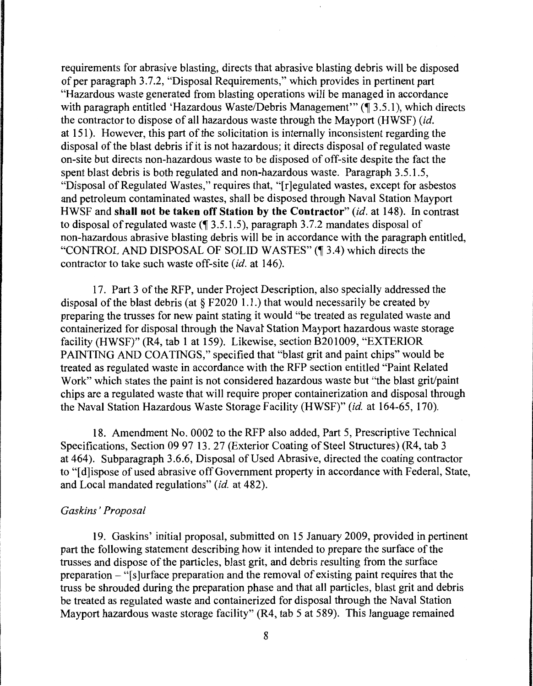requirements for abrasive blasting, directs that abrasive blasting debris will be disposed of per paragraph 3.7.2, "Disposal Requirements," which provides in pertinent part "Hazardous waste generated from blasting operations will be managed in accordance with paragraph entitled 'Hazardous Waste/Debris Management'"  $(\P 3.5.1)$ , which directs the contractor to dispose of all hazardous waste through the Mayport (HWSF) *(id.*  at 151 ). However, this part of the solicitation is internally inconsistent regarding the disposal of the blast debris if it is not hazardous; it directs disposal of regulated waste on-site but directs non-hazardous waste to be disposed of off-site despite the fact the spent blast debris is both regulated and non-hazardous waste. Paragraph 3.5.1.5, "Disposal of Regulated Wastes," requires that, "[r]egulated wastes, except for asbestos and petroleum contaminated wastes, shall be disposed through Naval Station Mayport HWSF and **shall not be taken off Station by the Contractor"** *(id.* at 148). In contrast to disposal of regulated waste  $(\P 3.5.1.5)$ , paragraph 3.7.2 mandates disposal of non-hazardous abrasive blasting debris will be in accordance with the paragraph entitled, "CONTROL AND DISPOSAL OF SOLID WASTES" (¶ 3.4) which directs the contractor to take such waste off-site *(id.* at 146).

17. Part 3 of the RFP, under Project Description, also specially addressed the disposal of the blast debris (at  $\S$  F2020 1.1.) that would necessarily be created by preparing the trusses for new paint stating it would "be treated as regulated waste and containerized for disposal through the Navat Station Mayport hazardous waste storage facility (HWSF)" (R4, tab 1 at 159). Likewise, section B201009, "EXTERIOR PAINTING AND COATINGS," specified that "blast grit and paint chips" would be treated as regulated waste in accordance with the RFP section entitled "Paint Related Work" which states the paint is not considered hazardous waste but "the blast grit/paint chips are a regulated waste that will require proper containerization and disposal through the Naval Station Hazardous Waste Storage Facility (HWSF)" *(id.* at 164-65, 170).

18. Amendment No. 0002 to the RFP also added, Part 5, Prescriptive Technical Specifications, Section 09 97 13. 27 (Exterior Coating of Steel Structures) (R4, tab 3 at 464). Subparagraph 3.6.6, Disposal of Used Abrasive, directed the coating contractor to "[d]ispose of used abrasive off Government property in accordance with Federal, State, and Local mandated regulations" *(id.* at 482).

### *Gaskins' Proposal*

19. Gaskins' initial proposal, submitted on 15 January 2009, provided in pertinent part the following statement describing how it intended to prepare the surface of the trusses and dispose of the particles, blast grit, and debris resulting from the surface preparation  $-$  "[s]urface preparation and the removal of existing paint requires that the truss be shrouded during the preparation phase and that all particles, blast grit and debris be treated as regulated waste and containerized for disposal through the Naval Station Mayport hazardous waste storage facility" (R4, tab 5 at 589). This language remained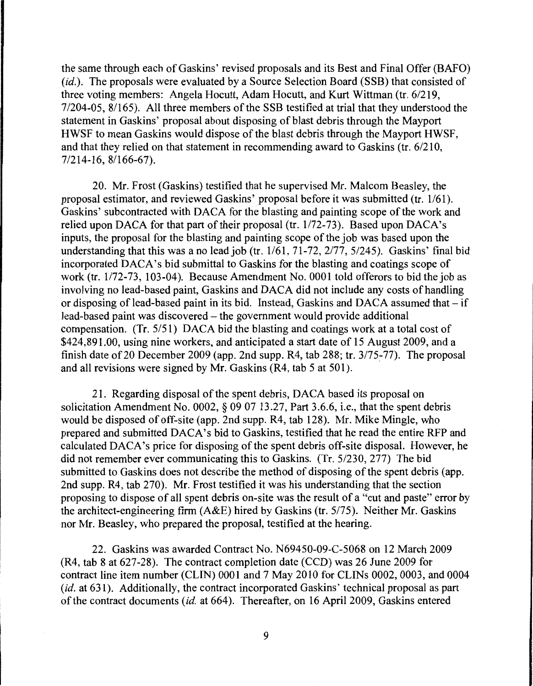the same through each of Gaskins' revised proposals and its Best and Final Offer (BAFO) *(id.).* The proposals were evaluated by a Source Selection Board (SSB) that consisted of three voting members: Angela Hocutt, Adam Hocutt, and Kurt Wittman (tr. 6/219, 7/204-05, 8/165). All three members of the SSB testified at trial that they understood the statement in Gaskins' proposal about disposing of blast debris through the Mayport HWSF to mean Gaskins would dispose of the blast debris through the Mayport HWSF, and that they relied on that statement in recommending award to Gaskins (tr.  $6/210$ , 7/214-16, 81166-67).

20. Mr. Frost (Gaskins) testified that he supervised Mr. Malcom Beasley, the proposal estimator, and reviewed Gaskins' proposal before it was submitted (tr. 1/61). Gaskins' subcontracted with DACA for the blasting and painting scope of the work and relied upon DACA for that part of their proposal (tr. 1/72-73). Based upon DACA's inputs, the proposal for the blasting and painting scope of the job was based upon the understanding that this was a no lead job (tr.  $1/61$ ,  $71-72$ ,  $2/77$ ,  $5/245$ ). Gaskins' final bid incorporated DACA's bid submittal to Gaskins for the blasting and coatings scope of work (tr. 1/72-73, 103-04). Because Amendment No. 0001 told offerors to bid the job as involving no lead-based paint, Gaskins and DACA did not include any costs of handling or disposing of lead-based paint in its bid. Instead, Gaskins and DACA assumed that  $-$  if lead-based paint was discovered – the government would provide additional compensation. (Tr. 5/51) DACA bid the blasting and coatings work at a total cost of \$424,891.00, using nine workers, and anticipated a start date of 15 August 2009, and a finish date of20 December 2009 (app. 2nd supp. R4, tab 288; tr. 3/75-77). The proposal and all revisions were signed by Mr. Gaskins (R4, tab 5 at 501).

21. Regarding disposal of the spent debris, DACA based its proposal on solicitation Amendment No. 0002, § 09 07 13 .27, Part 3 .6.6, i.e., that the spent debris would be disposed of off-site (app. 2nd supp. R4, tab 128). Mr. Mike Mingle, who prepared and submitted DACA's bid to Gaskins, testified that he read the entire RFP and calculated DACA's price for disposing of the spent debris off-site disposal. However, he did not remember ever communicating this to Gaskins. (Tr. 5/230, 277) The bid submitted to Gaskins does not describe the method of disposing of the spent debris (app. 2nd supp. R4, tab 270). Mr. Frost testified it was his understanding that the section proposing to dispose of all spent debris on-site was the result of a "cut and paste" error by the architect-engineering firm (A&E) hired by Gaskins (tr. 5/75). Neither Mr. Gaskins nor Mr. Beasley, who prepared the proposal, testified at the hearing.

22. Gaskins was awarded Contract No. N69450-09-C-5068 on 12 March 2009 (R4, tab 8 at 627-28). The contract completion date (CCD) was 26 June 2009 for contract line item number (CLIN) 0001 and 7 May 2010 for CLINs 0002, 0003, and 0004 (id. at 631). Additionally, the contract incorporated Gaskins' technical proposal as part of the contract documents *(id.* at 664). Thereafter, on 16 April 2009, Gaskins entered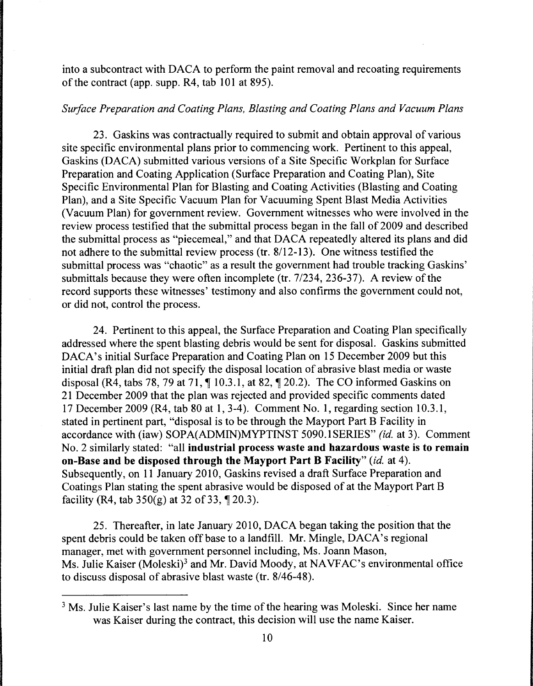into a subcontract with DACA to perform the paint removal and recoating requirements of the contract (app. supp. R4, tab 101 at 895).

# *Surface Preparation and Coating Plans, Blasting and Coating Plans and Vacuum Plans*

23. Gaskins was contractually required to submit and obtain approval of various site specific environmental plans prior to commencing work. Pertinent to this appeal, Gaskins (DACA) submitted various versions of a Site Specific Workplan for Surface Preparation and Coating Application (Surface Preparation and Coating Plan), Site Specific Environmental Plan for Blasting and Coating Activities (Blasting and Coating Plan), and a Site Specific Vacuum Plan for Vacuuming Spent Blast Media Activities (Vacuum Plan) for government review. Government witnesses who were involved in the review process testified that the submittal process began in the fall of 2009 and described the submittal process as "piecemeal," and that DACA repeatedly altered its plans and did not adhere to the submittal review process (tr. 8/12-13). One witness testified the submittal process was "chaotic" as a result the government had trouble tracking Gaskins' submittals because they were often incomplete (tr. 7/234, 236-37). A review of the record supports these witnesses' testimony and also confirms the government could not, or did not, control the process.

24. Pertinent to this appeal, the Surface Preparation and Coating Plan specifically addressed where the spent blasting debris would be sent for disposal. Gaskins submitted DACA's initial Surface Preparation and Coating Plan on 15 December 2009 but this initial draft plan did not specify the disposal location of abrasive blast media or waste disposal (R4, tabs 78, 79 at 71,  $\P$  10.3.1, at 82,  $\P$  20.2). The CO informed Gaskins on 21 December 2009 that the plan was rejected and provided specific comments dated 17 December 2009 (R4, tab 80 at 1, 3-4). Comment No. **1,** regarding section 10.3.1, stated in pertinent part, "disposal is to be through the Mayport Part B Facility in accordance with (iaw) SOPA(ADMIN)MYPTINST 5090.lSERIES" *(id.* at 3). Comment No. 2 similarly stated: "all **industrial process waste and hazardous waste is to remain on-Base and be disposed through the Mayport Part B Facility"** *(id.* at 4 ). Subsequently, on 11 January 2010, Gaskins revised a draft Surface Preparation and Coatings Plan stating the spent abrasive would be disposed of at the Mayport Part B facility (R4, tab  $350(g)$  at 32 of 33, ¶ 20.3).

25. Thereafter, in late January 2010, DACA began taking the position that the spent debris could be taken off base to a landfill. Mr. Mingle, DACA's regional manager, met with government personnel including, Ms. Joann Mason, Ms. Julie Kaiser (Moleski)<sup>3</sup> and Mr. David Moody, at NAVFAC's environmental office to discuss disposal of abrasive blast waste (tr. 8/46-48).

<sup>&</sup>lt;sup>3</sup> Ms. Julie Kaiser's last name by the time of the hearing was Moleski. Since her name was Kaiser during the contract, this decision will use the name Kaiser.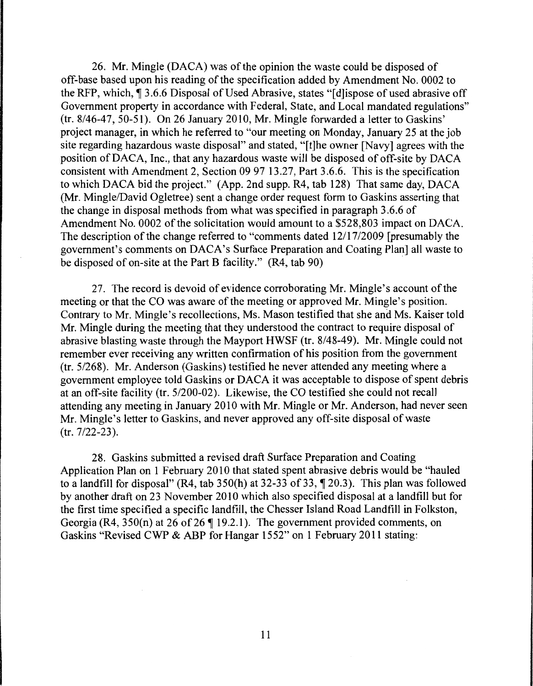26. Mr. Mingle (DACA) was of the opinion the waste could be disposed of off-base based upon his reading of the specification added by Amendment No. 0002 to the RFP, which,  $\hat{\mathbb{I}}$  3.6.6 Disposal of Used Abrasive, states "[d]ispose of used abrasive off Government property in accordance with Federal, State, and Local mandated regulations" (tr. 8/46-47, 50-51). On 26 January 2010, Mr. Mingle forwarded a letter to Gaskins' project manager, in which he referred to "our meeting on Monday, January 25 at the job site regarding hazardous waste disposal" and stated, "[t]he owner [Navy] agrees with the position ofDACA, Inc., that any hazardous waste will be disposed of off-site by DACA consistent with Amendment 2, Section 09 97 13.27, Part 3.6.6. This is the specification to which DACA bid the project." (App. 2nd supp. R4, tab 128) That same day, DACA (Mr. Mingle/David Ogletree) sent a change order request form to Gaskins asserting that the change in disposal methods from what was specified in paragraph 3 .6.6 of Amendment No. 0002 of the solicitation would amount to a \$528,803 impact on DACA. The description of the change referred to "comments dated 12/17/2009 [presumably the government's comments on DACA's Surface Preparation and Coating Plan] all waste to be disposed of on-site at the Part B facility." (R4, tab 90)

27. The record is devoid of evidence corroborating Mr. Mingle's account of the meeting or that the CO was aware of the meeting or approved Mr. Mingle's position. Contrary to Mr. Mingle's recollections, Ms. Mason testified that she and Ms. Kaiser told Mr. Mingle during the meeting that they understood the contract to require disposal of abrasive blasting waste through the Mayport HWSF (tr. 8/48-49). Mr. Mingle could not remember ever receiving any written confirmation of his position from the government (tr. 5/268). Mr. Anderson (Gaskins) testified he never attended any meeting where a government employee told Gaskins or DACA it was acceptable to dispose of spent debris at an off-site facility (tr. 5/200-02). Likewise, the CO testified she could not recall attending any meeting in January 2010 with Mr. Mingle or Mr. Anderson, had never seen Mr. Mingle's letter to Gaskins, and never approved any off-site disposal of waste (tr. 7/22-23).

28. Gaskins submitted a revised draft Surface Preparation and Coating Application Plan on 1 February 2010 that stated spent abrasive debris would be "hauled to a landfill for disposal" (R4, tab  $350(h)$  at  $32-33$  of  $33$ ,  $\P$  20.3). This plan was followed by another draft on 23 November 2010 which also specified disposal at a landfill but for the first time specified a specific landfill, the Chesser Island Road Landfill in Folkston, Georgia (R4,  $350(n)$  at 26 of 26  $\parallel$  19.2.1). The government provided comments, on Gaskins "Revised CWP & ABP for Hangar 1552" on 1 February 2011 stating: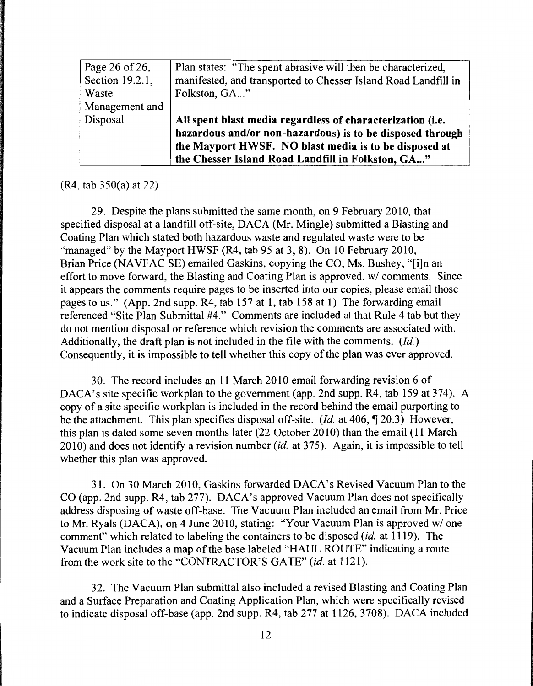| Page 26 of 26,  | Plan states: "The spent abrasive will then be characterized,   |
|-----------------|----------------------------------------------------------------|
| Section 19.2.1, | manifested, and transported to Chesser Island Road Landfill in |
| Waste           | Folkston, GA"                                                  |
| Management and  |                                                                |
| Disposal        | All spent blast media regardless of characterization (i.e.     |
|                 | hazardous and/or non-hazardous) is to be disposed through      |
|                 | the Mayport HWSF. NO blast media is to be disposed at          |
|                 | the Chesser Island Road Landfill in Folkston, GA"              |

(R4, tab 350(a) at 22)

29. Despite the plans submitted the same month, on 9 February 2010, that specified disposal at a landfill off-site, DACA (Mr. Mingle) submitted a Blasting and Coating Plan which stated both hazardous waste and regulated waste were to be "managed" by the Mayport HWSF (R4, tab 95 at 3, 8). On 10 February 2010, Brian Price (NAVFAC SE) emailed Gaskins, copying the CO, Ms. Bushey, "[i]n an effort to move forward, the Blasting and Coating Plan is approved, w/ comments. Since it appears the comments require pages to be inserted into our copies, please email those pages to us." (App. 2nd supp. R4, tab 157 at 1, tab 158 at 1) The forwarding email referenced "Site Plan Submittal #4." Comments are included at that Rule 4 tab but they do not mention disposal or reference which revision the comments are associated with. Additionally, the draft plan is not included in the file with the comments. *(Id.)*  Consequently, it is impossible to tell whether this copy of the plan was ever approved.

30. The record includes an 11March2010 email forwarding revision 6 of DACA's site specific workplan to the government (app. 2nd supp. R4, tab 159 at 374). A copy of a site specific workplan is included in the record behind the email purporting to be the attachment. This plan specifies disposal off-site. *(Id. at 406,* 120.3) However, this plan is dated some seven months later (22 October 2010) than the email ( 11 March 2010) and does not identify a revision number *(id.* at 375). Again, it is impossible to tell whether this plan was approved.

31. On 30 March 2010, Gaskins forwarded DACA's Revised Vacuum Plan to the CO (app. 2nd supp. R4, tab 277). DACA's approved Vacuum Plan does not specifically address disposing of waste off-base. The Vacuum Plan included an email from Mr. Price to Mr. Ryals (DACA), on 4 June 2010, stating: "Your Vacuum Plan is approved w/ one comment" which related to labeling the containers to be disposed *(id.* at 1119). The Vacuum Plan includes a map of the base labeled "HAUL ROUTE" indicating a route from the work site to the "CONTRACTOR'S GATE" *(id.* at 1121).

32. The Vacuum Plan submittal also included a revised Blasting and Coating Plan and a Surface Preparation and Coating Application Plan, which were specifically revised to indicate disposal off-base (app. 2nd supp. R4, tab 277 at 1126, 3708). DACA included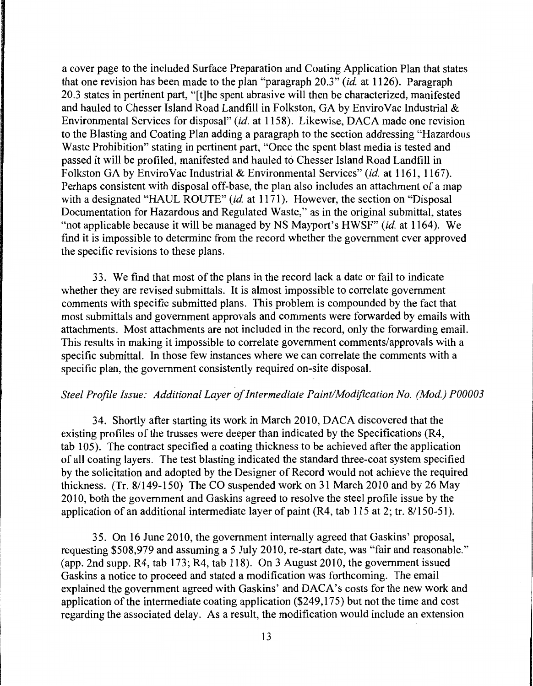a cover page to the included Surface Preparation and Coating Application Plan that states that one revision has been made to the plan "paragraph 20.3" *(id.* at 1126). Paragraph 20.3 states in pertinent part, "[t]he spent abrasive will then be characterized, manifested and hauled to Chesser Island Road Landfill in Folkston, GA by Enviro Vac Industrial & Environmental Services for disposal" *(id.* at 1158). Likewise, DACA made one revision to the Blasting and Coating Plan adding a paragraph to the section addressing "Hazardous Waste Prohibition" stating in pertinent part, "Once the spent blast media is tested and passed it will be profiled, manifested and hauled to Chesser Island Road Landfill in Folkston GA by EnviroVac Industrial & Environmental Services" *(id.* at 1161, 1167). Perhaps consistent with disposal off-base, the plan also includes an attachment of a map with a designated "HAUL ROUTE" *(id.* at 1171). However, the section on "Disposal Documentation for Hazardous and Regulated Waste," as in the original submittal, states "not applicable because it will be managed by NS Mayport's HWSF" *(id.* at 1164). We find it is impossible to determine from the record whether the government ever approved the specific revisions to these plans.

33. We find that most of the plans in the record lack a date or fail to indicate whether they are revised submittals. It is almost impossible to correlate government comments with specific submitted plans. This problem is compounded by the fact that most submittals and government approvals and comments were forwarded by emails with attachments. Most attachments are not included in the record, only the forwarding email. This results in making it impossible to correlate government comments/approvals with a specific submittal. In those few instances where we can correlate the comments with a specific plan, the government consistently required on-site disposal.

# *Steel Profile Issue: Additional Layer of Intermediate Paint/Modification No. (Mod.) P00003*

34. Shortly after starting its work in March 2010, DACA discovered that the existing profiles of the trusses were deeper than indicated by the Specifications (R4, tab 105). The contract specified a coating thickness to be achieved after the application of all coating layers. The test blasting indicated the standard three-coat system specified by the solicitation and adopted by the Designer of Record would not achieve the required thickness. (Tr. 8/149-150) The CO suspended work on 31 March 2010 and by 26 May 2010, both the government and Gaskins agreed to resolve the steel profile issue by the application of an additional intermediate layer of paint (R4, tab 115 at 2; tr. 8/150-51).

35. On 16 June 2010, the government internally agreed that Gaskins' proposal, requesting \$508,979 and assuming a 5 July 2010, re-start date, was "fair and reasonable." (app. 2nd supp. R4, tab 173; R4, tab 118). On 3 August 2010, the government issued Gaskins a notice to proceed and stated a modification was forthcoming. The email explained the government agreed with Gaskins' and DACA's costs for the new work and application of the intermediate coating application (\$249,175) but not the time and cost regarding the associated delay. As a result, the modification would include an extension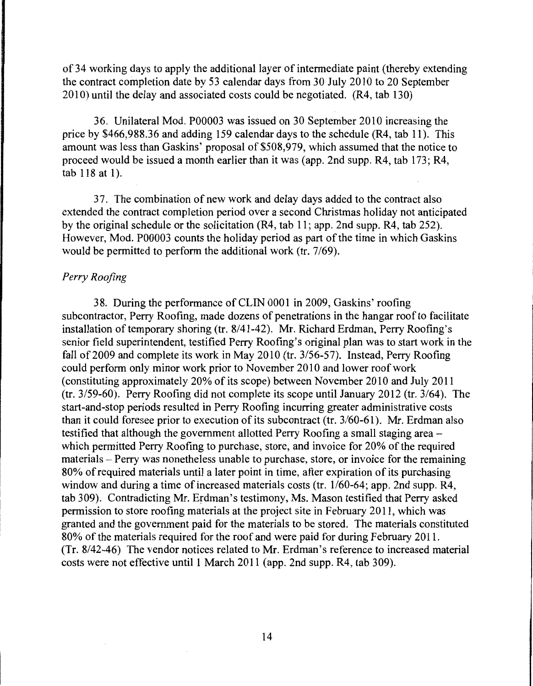of 34 working days to apply the additional layer of intermediate paint (thereby extending the contract completion date by 53 calendar days from 30 July 2010 to 20 September 2010) until the delay and associated costs could be negotiated. (R4, tab 130)

36. Unilateral Mod. P00003 was issued on 30 September 2010 increasing the price by \$466,988.36 and adding 159 calendar days to the schedule (R4, tab 11). This amount was less than Gaskins' proposal of \$508,979, which assumed that the notice to proceed would be issued a month earlier than it was (app. 2nd supp. R4, tab 173; R4, tab 118 at 1).

3 7. The combination of new work and delay days added to the contract also extended the contract completion period over a second Christmas holiday not anticipated by the original schedule or the solicitation (R4, tab 11; app. 2nd supp. R4, tab 252). However, Mod. P00003 counts the holiday period as part of the time in which Gaskins would be permitted to perform the additional work (tr. 7/69).

# *Perry Roofing*

38. During the performance of CLIN 0001 in 2009, Gaskins' roofing subcontractor, Perry Roofing, made dozens of penetrations in the hangar roof to facilitate installation of temporary shoring (tr. 8/41-42). Mr. Richard Erdman, Perry Roofing's senior field superintendent, testified Perry Roofing's original plan was to start work in the fall of 2009 and complete its work in May 2010 (tr. 3/56-57). Instead, Perry Roofing could perform only minor work prior to November 2010 and lower roof work (constituting approximately 20% of its scope) between November 2010 and July 2011 (tr. 3/59-60). Perry Roofing did not complete its scope until January 2012 (tr. 3/64). The start-and-stop periods resulted in Perry Roofing incurring greater administrative costs than it could foresee prior to execution of its subcontract (tr. 3/60-61). Mr. Erdman also testified that although the government allotted Perry Roofing a small staging area which permitted Perry Roofing to purchase, store, and invoice for 20% of the required materials - Perry was nonetheless unable to purchase, store, or invoice for the remaining 80% of required materials until a later point in time, after expiration of its purchasing window and during a time of increased materials costs (tr. 1/60-64; app. 2nd supp. R4, tab 309). Contradicting Mr. Erdman's testimony, Ms. Mason testified that Perry asked permission to store roofing materials at the project site in February 2011, which was granted and the government paid for the materials to be stored. The materials constituted 80% of the materials required for the roof and were paid for during February 2011. (Tr. 8/42-46) The vendor notices related to Mr. Erdman's reference to increased material costs were not effective until 1 March 2011 (app. 2nd supp. R4, tab 309).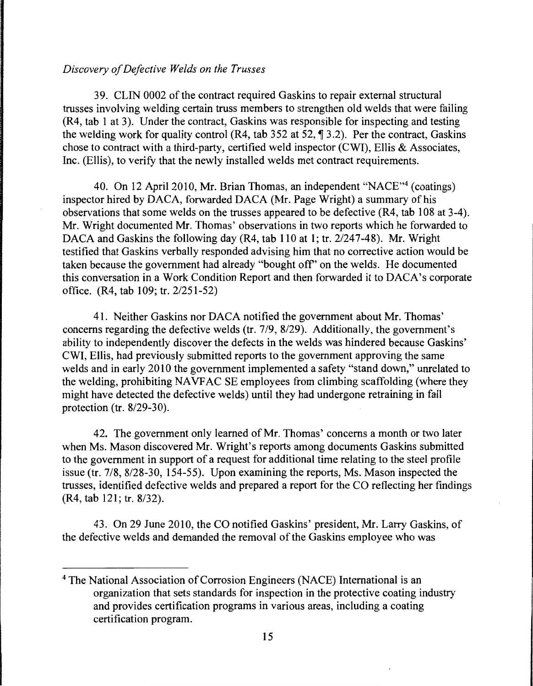### *Discovery of Defective Welds on the Trusses*

39. CLIN 0002 of the contract required Gaskins to repair external structural trusses involving welding certain truss members to strengthen old welds that were failing (R4, tab I at 3). Under the contract, Gaskins was responsible for inspecting and testing the welding work for quality control (R4, tab 352 at 52,  $\parallel$  3.2). Per the contract, Gaskins chose to contract with a third-party, certified weld inspector (CWI), Ellis & Associates, Inc. (Ellis), to verify that the newly installed welds met contract requirements.

40. On 12 April 2010, Mr. Brian Thomas, an independent "NACE"4 (coatings) inspector hired by DACA, forwarded DACA (Mr. Page Wright) a summary of his observations that some welds on the trusses appeared to be defective (R4, tab 108 at 3-4). Mr. Wright documented Mr. Thomas' observations in two reports which he forwarded to DACA and Gaskins the following day (R4, tab 110 at I; tr. 2/247-48). Mr. Wright testified that Gaskins verbally responded advising him that no corrective action would be taken because the government had already "bought off' on the welds. He documented this conversation in a Work Condition Report and then forwarded it to DACA's corporate office. (R4, tab 109; tr. 2/251-52)

41. Neither Gaskins nor DACA notified the government about Mr. Thomas' concerns regarding the defective welds (tr. 719, 8/29). Additionally, the government's ability to independently discover the defects in the welds was hindered because Gaskins' CWI, Ellis, had previously submitted reports to the government approving the same welds and in early 2010 the government implemented a safety "stand down," unrelated to the welding, prohibiting NAVFAC SE employees from climbing scaffolding (where they might have detected the defective welds) until they had undergone retraining in fall protection (tr. 8/29-30).

42. The government only learned of Mr. Thomas' concerns a month or two later when Ms. Mason discovered Mr. Wright's reports among documents Gaskins submitted to the government in support of a request for additional time relating to the steel profile issue (tr.  $7/8$ ,  $8/28-30$ ,  $154-55$ ). Upon examining the reports, Ms. Mason inspected the trusses, identified defective welds and prepared a report for the CO reflecting her findings (R4, tab 121; tr. 8/32).

43. On 29 June 2010, the CO notified Gaskins' president, Mr. Larry Gaskins, of the defective welds and demanded the removal of the Gaskins employee who was

<sup>&</sup>lt;sup>4</sup> The National Association of Corrosion Engineers (NACE) International is an organization that sets standards for inspection in the protective coating industry and provides certification programs in various areas, including a coating certification program.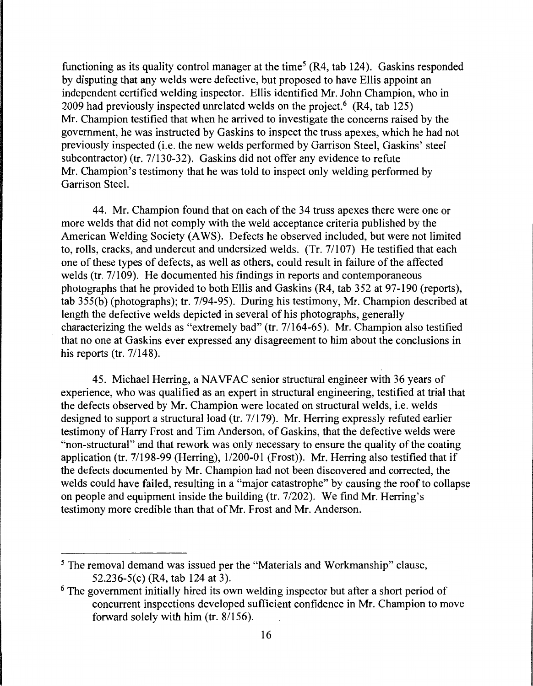functioning as its quality control manager at the time<sup>5</sup> (R4, tab 124). Gaskins responded by disputing that any welds were defective, but proposed to have Ellis appoint an independent certified welding inspector. Ellis identified Mr. John Champion, who in  $2009$  had previously inspected unrelated welds on the project.<sup>6</sup> (R4, tab 125) Mr. Champion testified that when he arrived to investigate the concerns raised by the government, he was instructed by Gaskins to inspect the truss apexes, which he had not previously inspected (i.e. the new welds performed by Garrison Steel, Gaskins' steel subcontractor) (tr. 7/130-32). Gaskins did not offer any evidence to refute Mr. Champion's testimony that he was told to inspect only welding performed by Garrison Steel.

44. Mr. Champion found that on each of the 34 truss apexes there were one or more welds that did not comply with the weld acceptance criteria published by the American Welding Society (AWS). Defects he observed included, but were not limited to, rolls, cracks, and undercut and undersized welds.  $(Tr. 7/107)$  He testified that each one of these types of defects, as well as others, could result in failure of the affected welds (tr. 7/109). He documented his findings in reports and contemporaneous photographs that he provided to both Ellis and Gaskins (R4, tab 352 at 97-190 (reports), tab 355(b) (photographs); tr. 7/94-95). During his testimony, Mr. Champion described at length the defective welds depicted in several of his photographs, generally characterizing the welds as "extremely bad" (tr. 7/164-65). Mr. Champion also testified that no one at Gaskins ever expressed any disagreement to him about the conclusions in his reports (tr. 7/148).

45. Michael Herring, a NA VF AC senior structural engineer with 36 years of experience, who was qualified as an expert in structural engineering, testified at trial that the defects observed by Mr. Champion were located on structural welds, i.e. welds designed to support a structural load (tr. 7/179). Mr. Herring expressly refuted earlier testimony of Harry Frost and Tim Anderson, of Gaskins, that the defective welds were "non-structural" and that rework was only necessary to ensure the quality of the coating application (tr.  $7/198-99$  (Herring),  $1/200-01$  (Frost)). Mr. Herring also testified that if the defects documented by Mr. Champion had not been discovered and corrected, the welds could have failed, resulting in a "major catastrophe" by causing the roof to collapse on people and equipment inside the building (tr. 7/202). We find Mr. Herring's testimony more credible than that of Mr. Frost and Mr. Anderson.

<sup>&</sup>lt;sup>5</sup> The removal demand was issued per the "Materials and Workmanship" clause, 52.236-5(c) (R4, tab 124 at 3).

<sup>&</sup>lt;sup>6</sup> The government initially hired its own welding inspector but after a short period of concurrent inspections developed sufficient confidence in Mr. Champion to move forward solely with him (tr. 8/156).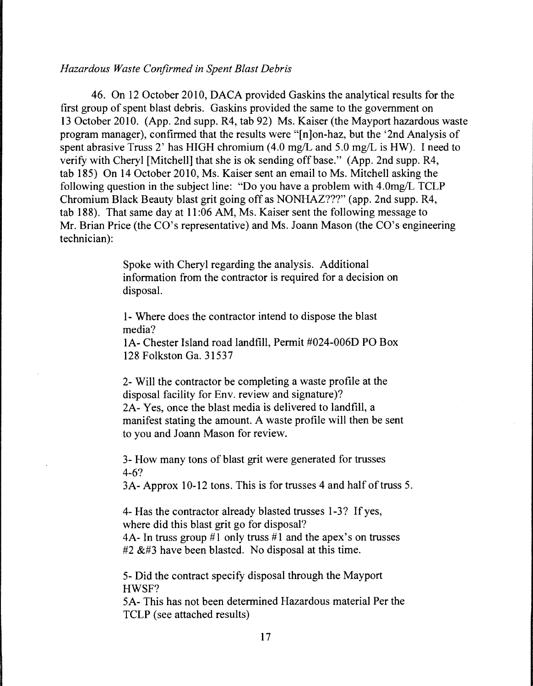#### *Hazardous Waste Confirmed in Spent Blast Debris*

46. On 12 October 2010, DACA provided Gaskins the analytical results for the first group of spent blast debris. Gaskins provided the same to the government on 13 October 2010. (App. 2nd supp. R4, tab 92) Ms. Kaiser (the Mayport hazardous waste program manager), confirmed that the results were "[n]on-haz, but the '2nd Analysis of spent abrasive Truss 2' has HIGH chromium  $(4.0 \text{ mg/L} \text{ and } 5.0 \text{ mg/L} \text{ is HW})$ . I need to verify with Cheryl [Mitchell] that she is ok sending off base." (App. 2nd supp. R4, tab 185) On 14 October 2010, Ms. Kaiser sent an email to Ms. Mitchell asking the following question in the subject line: "Do you have a problem with 4.0mg/L TCLP Chromium Black Beauty blast grit going off as NONHAZ???" (app. 2nd supp. R4, tab 188). That same day at 11 :06 AM, Ms. Kaiser sent the following message to Mr. Brian Price (the CO's representative) and Ms. Joann Mason (the CO's engineering technician):

> Spoke with Cheryl regarding the analysis. Additional information from the contractor is required for a decision on disposal.

1- Where does the contractor intend to dispose the blast media?

IA- Chester Island road landfill, Permit #024-006D PO Box 128 Folkston Ga. 31537

2- Will the contractor be completing a waste profile at the disposal facility for Env. review and signature)? 2A- Yes, once the blast media is delivered to landfill, a manifest stating the amount. A waste profile will then be sent to you and Joann Mason for review.

3- How many tons of blast grit were generated for trusses 4-6?

3A- Approx 10-12 tons. This is for trusses 4 and half of truss 5.

4- Has the contractor already blasted trusses 1-3? If yes, where did this blast grit go for disposal? 4A- In truss group #1 only truss #1 and the apex's on trusses #2  $&$ #3 have been blasted. No disposal at this time.

5- Did the contract specify disposal through the Mayport HWSF?

5A- This has not been determined Hazardous material Per the TCLP (see attached results)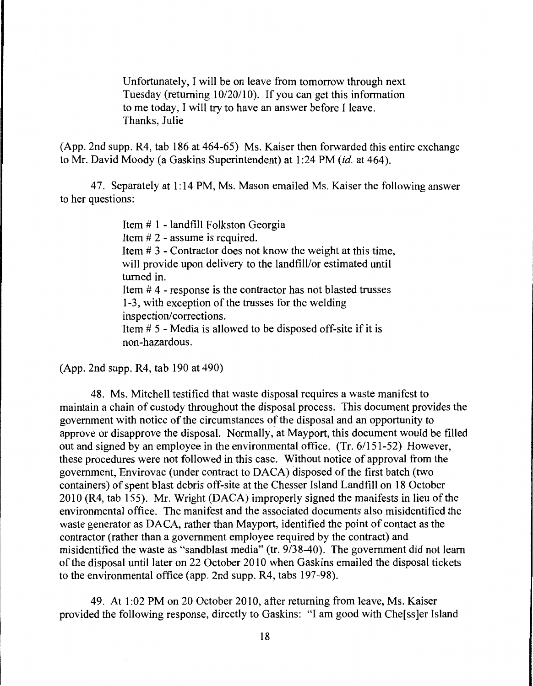Unfortunately, I will be on leave from tomorrow through next Tuesday (returning 10/20/10). If you can get this information to me today, I will try to have an answer before I leave. Thanks, Julie

(App. 2nd supp. R4, tab 186 at 464-65) Ms. Kaiser then forwarded this entire exchange to Mr. David Moody (a Gaskins Superintendent) at 1 :24 PM *(id.* at 464).

4 7. Separately at 1: 14 PM, Ms. Mason emailed Ms. Kaiser the following answer to her questions:

> Item# 1 - landfill Folkston Georgia Item # 2 - assume is required. Item # 3 - Contractor does not know the weight at this time, will provide upon delivery to the landfill/or estimated until turned in. Item # 4 - response is the contractor has not blasted trusses 1-3, with exception of the trusses for the welding inspection/corrections. Item # 5 - Media is allowed to be disposed off-site if it is non-hazardous.

(App. 2nd supp. R4, tab 190 at 490)

48. Ms. Mitchell testified that waste disposal requires a waste manifest to maintain a chain of custody throughout the disposal process. This document provides the government with notice of the circumstances of the disposal and an opportunity to approve or disapprove the disposal. Normally, at Mayport, this document would be filled out and signed by an employee in the environmental office. (Tr. 6/151-52) However, these procedures were not followed in this case. Without notice of approval from the government, Envirovac (under contract to DACA) disposed of the first batch (two containers) of spent blast debris off-site at the Chesser Island Landfill on 18 October 2010 (R4, tab 155). Mr. Wright (DACA) improperly signed the manifests in lieu of the environmental office. The manifest and the associated documents also misidentified the waste generator as DACA, rather than Mayport, identified the point of contact as the contractor (rather than a government employee required by the contract) and misidentified the waste as "sandblast media" (tr. 9/38-40). The government did not learn of the disposal until later on 22 October 2010 when Gaskins emailed the disposal tickets to the environmental office (app. 2nd supp. R4, tabs 197-98).

49. At 1:02 PM on 20 October 2010, after returning from leave, Ms. Kaiser provided the following response, directly to Gaskins: "I am good with Che[ss]er Island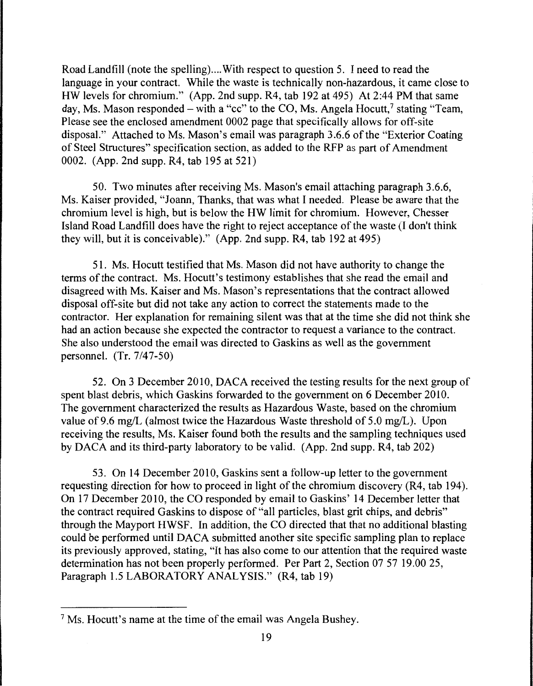Road Landfill (note the spelling).... With respect to question 5. I need to read the language in your contract. While the waste is technically non-hazardous, it came close to HW levels for chromium." (App. 2nd supp. R4, tab 192 at 495) At 2:44 PM that same day, Ms. Mason responded – with a "cc" to the CO, Ms. Angela Hocutt,  $\frac{7}{1}$  stating "Team, Please see the enclosed amendment 0002 page that specifically allows for off-site disposal." Attached to Ms. Mason's email was paragraph 3.6.6 of the "Exterior Coating of Steel Structures" specification section, as added to the RFP as part of Amendment 0002. (App. 2nd supp. R4, tab 195 at 521)

50. Two minutes after receiving Ms. Mason's email attaching paragraph 3.6.6, Ms. Kaiser provided, "Joann, Thanks, that was what I needed. Please be aware that the chromium level is high, but is below the HW limit for chromium. However, Chesser Island Road Landfill does have the right to reject acceptance of the waste (I don't think they will, but it is conceivable)." (App. 2nd supp. R4, tab 192 at 495)

51. Ms. Hocutt testified that Ms. Mason did not have authority to change the terms of the contract. Ms. Hocutt's testimony establishes that she read the email and disagreed with Ms. Kaiser and Ms. Mason's representations that the contract allowed disposal off-site but did not take any action to correct the statements made to the contractor. Her explanation for remaining silent was that at the time she did not think she had an action because she expected the contractor to request a variance to the contract. She also understood the email was directed to Gaskins as well as the government personnel. (Tr. 7/47-50)

52. On 3 December 2010, DACA received the testing results for the next group of spent blast debris, which Gaskins forwarded to the government on 6 December 2010. The government characterized the results as Hazardous Waste, based on the chromium value of 9.6 mg/L (almost twice the Hazardous Waste threshold of 5.0 mg/L). Upon receiving the results, Ms. Kaiser found both the results and the sampling techniques used by DACA and its third-party laboratory to be valid. (App. 2nd supp. R4, tab 202)

53. On 14 December 2010, Gaskins sent a follow-up letter to the government requesting direction for how to proceed in light of the chromium discovery (R4, tab 194). On 17 December 2010, the CO responded by email to Gaskins' 14 December letter that the contract required Gaskins to dispose of "all particles, blast grit chips, and debris" through the Mayport HWSF. In addition, the CO directed that that no additional blasting could be performed until DACA submitted another site specific sampling plan to replace its previously approved, stating, "It has also come to our attention that the required waste determination has not been properly performed. Per Part 2, Section 07 57 19.00 25, Paragraph 1.5 LABORATORY ANALYSIS." (R4, tab 19)

<sup>7</sup> Ms. Hocutt's name at the time of the email was Angela Bushey.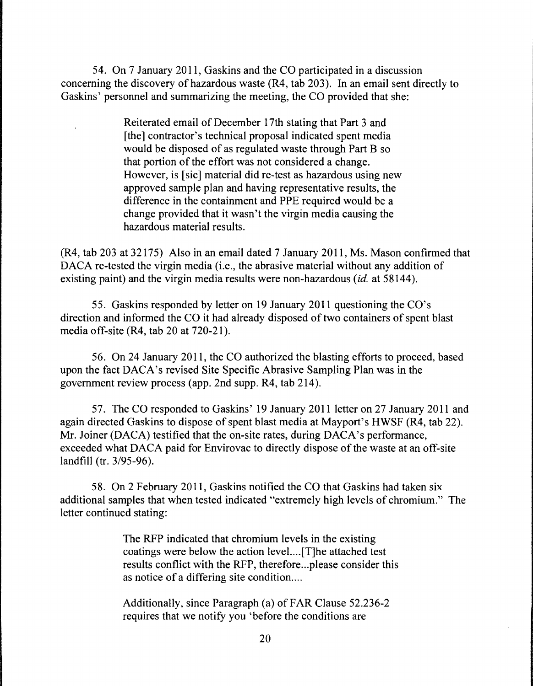54. On 7 January 2011, Gaskins and the CO participated in a discussion concerning the discovery of hazardous waste (R4, tab 203). In an email sent directly to Gaskins' personnel and summarizing the meeting, the CO provided that she:

> Reiterated email of December 17th stating that Part 3 and [the] contractor's technical proposal indicated spent media would be disposed of as regulated waste through Part B so that portion of the effort was not considered a change. However, is [sic] material did re-test as hazardous using new approved sample plan and having representative results, the difference in the containment and PPE required would be a change provided that it wasn't the virgin media causing the hazardous material results.

(R4, tab 203 at 32175) Also in an email dated 7 January 2011, Ms. Mason confirmed that DACA re-tested the virgin media (i.e., the abrasive material without any addition of existing paint) and the virgin media results were non-hazardous *(id.* at 58144).

55. Gaskins responded by letter on 19 January 2011 questioning the CO's direction and informed the CO it had already disposed of two containers of spent blast media off-site (R4, tab 20 at 720-21).

56. On 24 January 2011, the CO authorized the blasting efforts to proceed, based upon the fact DACA's revised Site Specific Abrasive Sampling Plan was in the government review process (app. 2nd supp. R4, tab 214).

57. The CO responded to Gaskins' 19 January 2011 letter on 27 January 2011 and again directed Gaskins to dispose of spent blast media at Mayport's HWSF (R4, tab 22). Mr. Joiner (DACA) testified that the on-site rates, during DACA's performance, exceeded what DACA paid for Envirovac to directly dispose of the waste at an off-site landfill (tr. 3/95-96).

58. On 2 February 2011, Gaskins notified the CO that Gaskins had taken six additional samples that when tested indicated "extremely high levels of chromium." The letter continued stating:

> The RFP indicated that chromium levels in the existing coatings were below the action level. ... [T]he attached test results conflict with the RFP, therefore ... please consider this as notice of a differing site condition....

Additionally, since Paragraph (a) of FAR Clause 52.236-2 requires that we notify you 'before the conditions are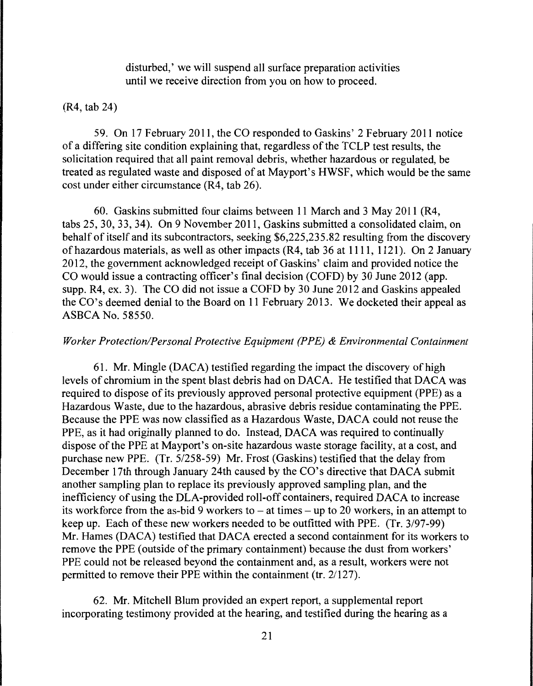disturbed,' we will suspend all surface preparation activities until we receive direction from you on how to proceed.

## (R4, tab 24)

59. On 17 February 2011, the CO responded to Gaskins' 2 February 2011 notice of a differing site condition explaining that, regardless of the TCLP test results, the solicitation required that all paint removal debris, whether hazardous or regulated, be treated as regulated waste and disposed of at Mayport's HWSF, which would be the same cost under either circumstance (R4, tab 26).

60. Gaskins submitted four claims between 11 March and 3 May 2011 (R4, tabs 25, 30, 33, 34). On 9 November 2011, Gaskins submitted a consolidated claim, on behalf of itself and its subcontractors, seeking \$6,225,235.82 resulting from the discovery of hazardous materials, as well as other impacts (R4, tab 36 at 1111, 1121). On 2 January 2012, the government acknowledged receipt of Gaskins' claim and provided notice the CO would issue a contracting officer's final decision (COFD) by 30 June 2012 (app. supp. R4, ex. 3). The CO did not issue a COFD by 30 June 2012 and Gaskins appealed the CO's deemed denial to the Board on 11 February 2013. We docketed their appeal as ASBCA No. 58550.

# *Worker Protection/Personal Protective Equipment (PPE) & Environmental Containment*

61. Mr. Mingle (DACA) testified regarding the impact the discovery of high levels of chromium in the spent blast debris had on DACA. He testified that DACA was required to dispose of its previously approved personal protective equipment (PPE) as a Hazardous Waste, due to the hazardous, abrasive debris residue contaminating the PPE. Because the PPE was now classified as a Hazardous Waste, DACA could not reuse the PPE, as it had originally planned to do. Instead, DACA was required to continually dispose of the PPE at Mayport's on-site hazardous waste storage facility, at a cost, and purchase new PPE. (Tr. 5/258-59) Mr. Frost (Gaskins) testified that the delay from December 17th through January 24th caused by the CO's directive that DACA submit another sampling plan to replace its previously approved sampling plan, and the inefficiency of using the DLA-provided roll-off containers, required DACA to increase its workforce from the as-bid 9 workers to  $-$  at times  $-$  up to 20 workers, in an attempt to keep up. Each of these new workers needed to be outfitted with PPE. (Tr. 3/97-99) Mr. Hames (DACA) testified that DACA erected a second containment for its workers to remove the PPE (outside of the primary containment) because the dust from workers' PPE could not be released beyond the containment and, as a result, workers were not permitted to remove their PPE within the containment (tr. 21127).

62. Mr. Mitchell Blum provided an expert report, a supplemental report incorporating testimony provided at the hearing, and testified during the hearing as a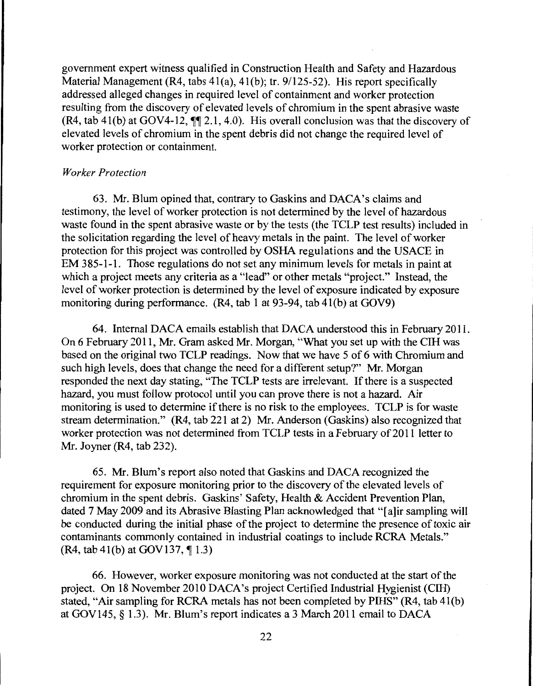government expert witness qualified in Construction Health and Safety and Hazardous Material Management (R4, tabs 41(a), 41(b); tr. 9/125-52). His report specifically addressed alleged changes in required level of containment and worker protection resulting from the discovery of elevated levels of chromium in the spent abrasive waste (R4, tab 41(b) at GOV4-12,  $\P$  $\uparrow$  2.1, 4.0). His overall conclusion was that the discovery of elevated levels of chromium in the spent debris did not change the required level of worker protection or containment.

# *Worker Protection*

63. Mr. Blum opined that, contrary to Gaskins and DACA's claims and testimony, the level of worker protection is not determined by the level of hazardous waste found in the spent abrasive waste or by the tests (the TCLP test results) included in the solicitation regarding the level of heavy metals in the paint. The level of worker protection for this project was controlled by OSHA regulations and the USACE in EM 3 85-1-1. Those regulations do not set any minimum levels for metals in paint at which a project meets any criteria as a "lead" or other metals "project." Instead, the level of worker protection is determined by the level of exposure indicated by exposure monitoring during performance.  $(R4, tab 1 at 93-94, tab 41(b) at GOV9)$ 

64. Internal DACA emails establish that DACA understood this in February 2011. On 6 February 2011, Mr. Gram asked Mr. Morgan, "What you set up with the CIH was based on the original two TCLP readings. Now that we have 5 of 6 with Chromium and such high levels, does that change the need for a different setup?" Mr. Morgan responded the next day stating, "The TCLP tests are irrelevant. If there is a suspected hazard, you must follow protocol until you can prove there is not a hazard. Air monitoring is used to determine if there is no risk to the employees. TCLP is for waste stream determination." (R4, tab 221 at 2) Mr. Anderson (Gaskins) also recognized that worker protection was not determined from TCLP tests in a February of 2011 letter to Mr. Joyner (R4, tab 232).

65. Mr. Blum's report also noted that Gaskins and DACA recognized the requirement for exposure monitoring prior to the discovery of the elevated levels of chromium in the spent debris. Gaskins' Safety, Health & Accident Prevention Plan, dated 7 May 2009 and its Abrasive Blasting Plan acknowledged that "[a]ir sampling will be conducted during the initial phase of the project to determine the presence of toxic air contaminants commonly contained in industrial coatings to include RCRA Metals." (R4, tab 4l(b) at GOV137, *ii* 1.3)

66. However, worker exposure monitoring was not conducted at the start of the project. On 18 November 2010 DACA's project Certified Industrial Hygienist (CIH) stated, "Air sampling for RCRA metals has not been completed by PIHS" (R4, tab 4l(b) at GOV145, § 1.3). Mr. Blum's report indicates a 3 March 2011 email to DACA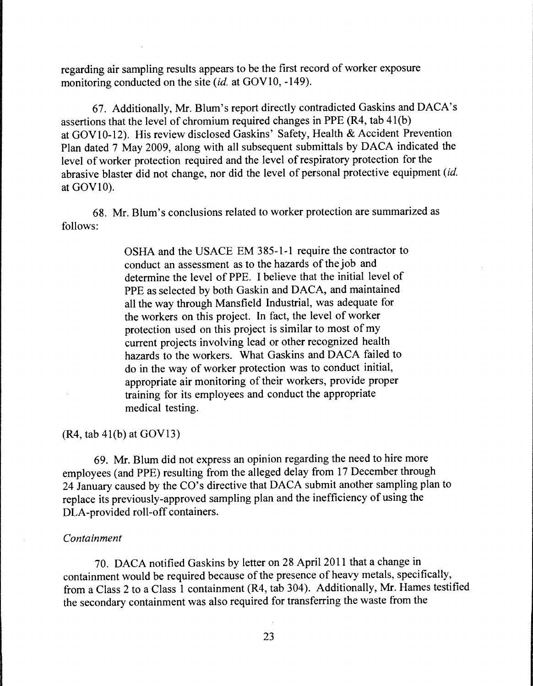regarding air sampling results appears to be the first record of worker exposure monitoring conducted on the site *(id.* at GOV 10, -149).

67. Additionally, Mr. Blum's report directly contradicted Gaskins and DACA's assertions that the level of chromium required changes in PPE (R4, tab  $41(b)$ ) at GOVl0-12). His review disclosed Gaskins' Safety, Health & Accident Prevention Plan dated 7 May 2009, along with all subsequent submittals by DACA indicated the level of worker protection required and the level of respiratory protection for the abrasive blaster did not change, nor did the level of personal protective equipment *(id.*  at GOVlO).

68. Mr. Blum's conclusions related to worker protection are summarized as follows:

> OSHA and the USACE EM 385-1-1 require the contractor to conduct an assessment as to the hazards of the job and determine the level of PPE. I believe that the initial level of PPE as selected by both Gaskin and DACA, and maintained all the way through Mansfield Industrial, was adequate for the workers on this project. In fact, the level of worker protection used on this project is similar to most of my current projects involving lead or other recognized health hazards to the workers. What Gaskins and DACA failed to do in the way of worker protection was to conduct initial, appropriate air monitoring of their workers, provide proper training for its employees and conduct the appropriate medical testing.

(R4, tab 4l(b) at GOV13)

69. Mr. Blum did not express an opinion regarding the need to hire more employees (and PPE) resulting from the alleged delay from 17 December through 24 January caused by the CO's directive that DACA submit another sampling plan to replace its previously-approved sampling plan and the inefficiency of using the DLA-provided roll-off containers.

#### *Containment*

70. DACA notified Gaskins by letter on 28 April 2011 that a change in containment would be required because of the presence of heavy metals, specifically, from a Class 2 to a Class 1 containment (R4, tab 304). Additionally, Mr. Hames testified the secondary containment was also required for transferring the waste from the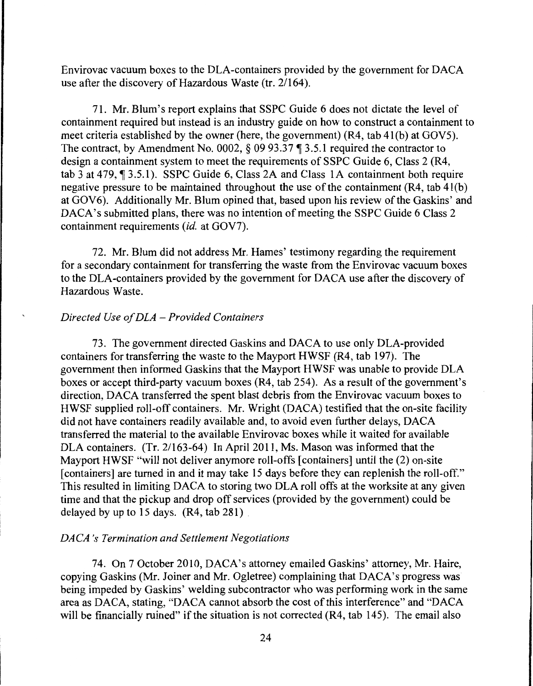Envirovac vacuum boxes to the DLA-containers provided by the government for DACA use after the discovery of Hazardous Waste (tr. 2/164).

71. Mr. Blum's report explains that SSPC Guide 6 does not dictate the level of containment required but instead is an industry guide on how to construct a containment to meet criteria established by the owner (here, the government) (R4, tab 4l(b) at GOVS). The contract, by Amendment No. 0002,  $\S$  09 93.37  $\P$  3.5.1 required the contractor to design a containment system to meet the requirements of SSPC Guide 6, Class 2 (R4, tab  $3$  at 479,  $\degree$  3.5.1). SSPC Guide 6, Class 2A and Class 1A containment both require negative pressure to be maintained throughout the use of the containment  $(R4, tab 41(b))$ at GOV6). Additionally Mr. Blum opined that, based upon his review of the Gaskins' and DACA's submitted plans, there was no intention of meeting the SSPC Guide 6 Class 2 containment requirements *(id.* at GOV7).

72. Mr. Blum did not address Mr. Hames' testimony regarding the requirement for a secondary containment for transferring the waste from the Envirovac vacuum boxes to the DLA-containers provided by the government for DACA use after the discovery of Hazardous Waste.

#### *Directed Use of DLA* - *Provided Containers*

73. The government directed Gaskins and DACA to use only DLA-provided containers for transferring the waste to the Mayport HWSF (R4, tab 197). The government then informed Gaskins that the Mayport HWSF was unable to provide DLA boxes or accept third-party vacuum boxes (R4, tab 254). As a result of the government's direction, DACA transferred the spent blast debris from the Envirovac vacuum boxes to HWSF supplied roll-off containers. Mr. Wright (DACA) testified that the on-site facility did not have containers readily available and, to avoid even further delays, DACA transferred the material to the available Envirovac boxes while it waited for available DLA containers. (Tr. 2/163-64) In April 2011, Ms. Mason was informed that the Mayport HWSF "will not deliver anymore roll-offs [containers] until the (2) on-site [containers] are turned in and it may take 15 days before they can replenish the roll-off." This resulted in limiting DACA to storing two DLA roll offs at the worksite at any given time and that the pickup and drop off services (provided by the government) could be delayed by up to 15 days. (R4, tab 281) .

## *DACA 's Termination and Settlement Negotiations*

74. On 7 October 2010, DACA's attorney emailed Gaskins' attorney, Mr. Haire, copying Gaskins (Mr. Joiner and Mr. Ogletree) complaining that DACA's progress was being impeded by Gaskins' welding subcontractor who was performing work in the same area as DACA, stating, "DACA cannot absorb the cost of this interference" and "DACA will be financially ruined" if the situation is not corrected  $(R4, tab 145)$ . The email also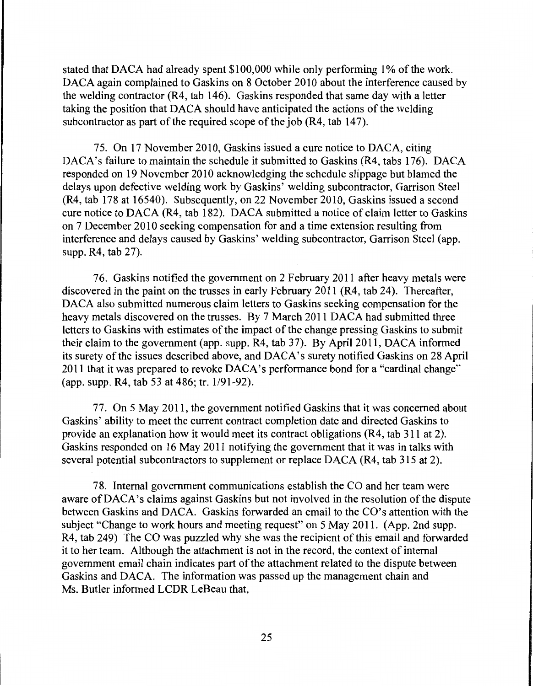stated that DACA had already spent \$100,000 while only performing 1% of the work. DACA again complained to Gaskins on 8 October 2010 about the interference caused by the welding contractor (R4, tab 146). Gaskins responded that same day with a letter taking the position that DACA should have anticipated the actions of the welding subcontractor as part of the required scope of the job (R4, tab 147).

75. On 17 November 2010, Gaskins issued a cure notice to DACA, citing DACA's failure to maintain the schedule it submitted to Gaskins (R4, tabs 176). DACA responded on 19 November 2010 acknowledging the schedule slippage but blamed the delays upon defective welding work by Gaskins' welding subcontractor, Garrison Steel (R4, tab 178 at 16540). Subsequently, on 22 November 2010, Gaskins issued a second cure notice to DACA (R4, tab 182). DACA submitted a notice of claim letter to Gaskins on 7 December 2010 seeking compensation for and a time extension resulting from interference and delays caused by Gaskins' welding subcontractor, Garrison Steel (app. supp. R4, tab 27).

76. Gaskins notified the government on 2 February 2011 after heavy metals were discovered in the paint on the trusses in early February 2011 (R4, tab 24). Thereafter, DACA also submitted numerous claim letters to Gaskins seeking compensation for the heavy metals discovered on the trusses. By 7 March 2011 DACA had submitted three letters to Gaskins with estimates of the impact of the change pressing Gaskins to submit their claim to the government (app. supp. R4, tab 37). By April 2011, DACA informed its surety of the issues described above, and DACA's surety notified Gaskins on 28 April 2011 that it was prepared to revoke DACA's performance bond for a "cardinal change" (app. supp. R4, tab 53 at 486; tr. 1/91-92).

77. On 5 May 2011, the government notified Gaskins that it was concerned about Gaskins' ability to meet the current contract completion date and directed Gaskins to provide an explanation how it would meet its contract obligations (R4, tab 311 at 2). Gaskins responded on 16 May 2011 notifying the government that it was in talks with several potential subcontractors to supplement or replace DACA (R4, tab 315 at 2).

78. Internal government communications establish the CO and her team were aware ofDACA's claims against Gaskins but not involved in the resolution of the dispute between Gaskins and DACA. Gaskins forwarded an email to the CO's attention with the subject "Change to work hours and meeting request" on 5 May 2011. (App. 2nd supp. R4, tab 249) The CO was puzzled why she was the recipient of this email and forwarded it to her team. Although the attachment is not in the record, the context of internal government email chain indicates part of the attachment related to the dispute between Gaskins and DACA. The information was passed up the management chain and Ms. Butler informed LCDR LeBeau that,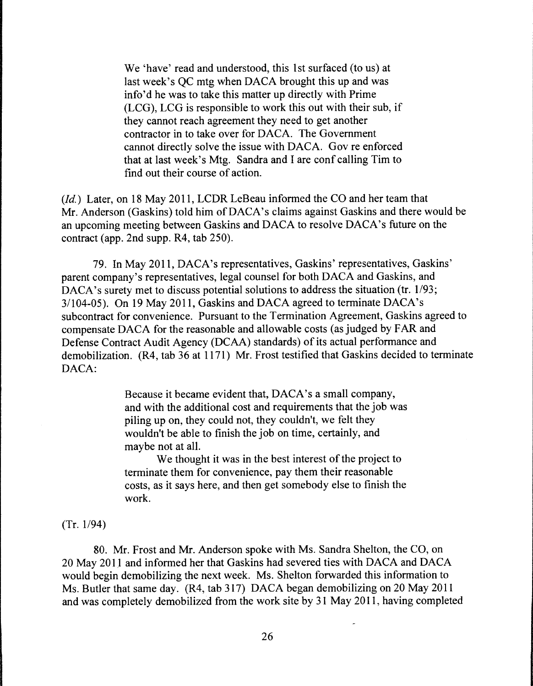We 'have' read and understood, this 1st surfaced (to us) at last week's QC mtg when DACA brought this up and was info'd he was to take this matter up directly with Prime (LCG), LCG is responsible to work this out with their sub, if they cannot reach agreement they need to get another contractor in to take over for DACA. The Government cannot directly solve the issue with DACA. Gov re enforced that at last week's Mtg. Sandra and I are conf calling Tim to find out their course of action.

*(Id.)* Later, on 18 May 2011, LCDR LeBeau informed the CO and her team that Mr. Anderson (Gaskins) told him of DACA's claims against Gaskins and there would be an upcoming meeting between Gaskins and DACA to resolve DACA's future on the contract (app. 2nd supp. R4, tab 250).

79. In May 2011, DACA's representatives, Gaskins' representatives, Gaskins' parent company's representatives, legal counsel for both DACA and Gaskins, and DACA's surety met to discuss potential solutions to address the situation (tr. 1/93; 3/104-05). On 19 May 2011, Gaskins and DACA agreed to terminate DACA's subcontract for convenience. Pursuant to the Termination Agreement, Gaskins agreed to compensate DACA for the reasonable and allowable costs (as judged by FAR and Defense Contract Audit Agency (DCAA) standards) of its actual performance and demobilization. (R4, tab 36 at 1171) Mr. Frost testified that Gaskins decided to terminate DACA:

> Because it became evident that, DACA's a small company, and with the additional cost and requirements that the job was piling up on, they could not, they couldn't, we felt they wouldn't be able to finish the job on time, certainly, and maybe not at all.

> We thought it was in the best interest of the project to terminate them for convenience, pay them their reasonable costs, as it says here, and then get somebody else to finish the work.

(Tr. 1/94)

80. Mr. Frost and Mr. Anderson spoke with Ms. Sandra Shelton, the CO, on 20 May 2011 and informed her that Gaskins had severed ties with DACA and DACA would begin demobilizing the next week. Ms. Shelton forwarded this information to Ms. Butler that same day. (R4, tab 317) DACA began demobilizing on 20 May 2011 and was completely demobilized from the work site by 31 May 2011, having completed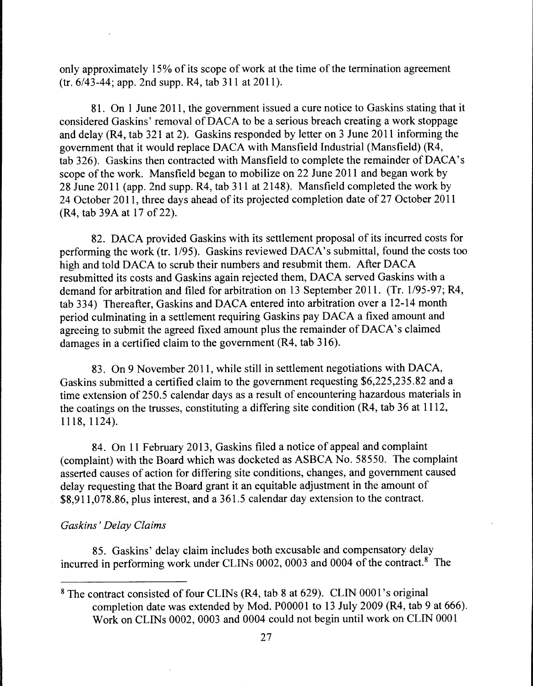only approximately 15% of its scope of work at the time of the termination agreement (tr. 6/43-44; app. 2nd supp. R4, tab 311 at 2011 ).

81. On 1 June 2011, the government issued a cure notice to Gaskins stating that it considered Gaskins' removal ofDACA to be a serious breach creating a work stoppage and delay (R4, tab 321 at 2). Gaskins responded by letter on 3 June 2011 informing the government that it would replace DACA with Mansfield Industrial (Mansfield) (R4, tab 326). Gaskins then contracted with Mansfield to complete the remainder of DACA's scope of the work. Mansfield began to mobilize on 22 June 2011 and began work by 28 June 2011 (app. 2nd supp. R4, tab 311 at 2148). Mansfield completed the work by 24 October 2011, three days ahead of its projected completion date of27 October 2011 (R4, tab 39A at 17 of 22).

82. DACA provided Gaskins with its settlement proposal of its incurred costs for performing the work (tr. 1/95). Gaskins reviewed  $DACA's$  submittal, found the costs too high and told DACA to scrub their numbers and resubmit them. After DACA resubmitted its costs and Gaskins again rejected them, DACA served Gaskins with a demand for arbitration and filed for arbitration on 13 September 2011. (Tr. 1/95-97; R4, tab 334) Thereafter, Gaskins and DACA entered into arbitration over a 12-14 month period culminating in a settlement requiring Gaskins pay DACA a fixed amount and agreeing to submit the agreed fixed amount plus the remainder of DACA's claimed damages in a certified claim to the government (R4, tab 316).

83. On 9 November 2011, while still in settlement negotiations with DACA, Gaskins submitted a certified claim to the government requesting \$6,225,235.82 and a time extension of 250.5 calendar days as a result of encountering hazardous materials in the coatings on the trusses, constituting a differing site condition (R4, tab 36 at 1112, 1118, 1124).

84. On 11 February 2013, Gaskins filed a notice of appeal and complaint (complaint) with the Board which was docketed as ASBCA No. 58550. The complaint asserted causes of action for differing site conditions, changes, and government caused delay requesting that the Board grant it an equitable adjustment in the amount of \$8,911,078.86, plus interest, and a 361.5 calendar day extension to the contract.

## *Gaskins' Delay Claims*

85. Gaskins' delay claim includes both excusable and compensatory delay incurred in performing work under CLINs 0002, 0003 and 0004 of the contract.<sup>8</sup> The

<sup>8</sup> The contract consisted of four CLINs (R4, tab 8 at 629). CLIN 0001 's original completion date was extended by Mod. P00001 to 13 July 2009 (R4, tab 9 at 666). Work on CLINs 0002, 0003 and 0004 could not begin until work on CLIN 0001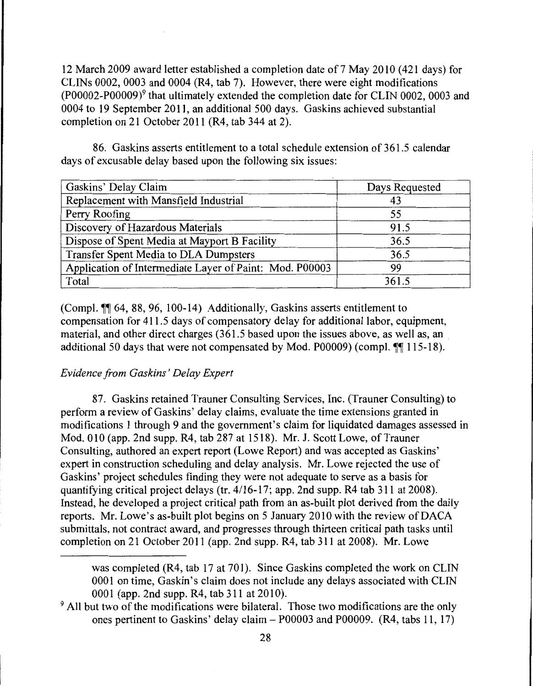12 March 2009 award letter established a completion date of 7 May 2010 (421 days) for CLINs 0002, 0003 and 0004 (R4, tab 7). However, there were eight modifications (P00002-P00009)9 that ultimately extended the completion date for CLIN 0002, 0003 and 0004 to 19 September 2011, an additional 500 days. Gaskins achieved substantial completion on 21 October 2011 (R4, tab 344 at 2).

86. Gaskins asserts entitlement to a total schedule extension of 361.5 calendar days of excusable delay based upon the following six issues:

| Gaskins' Delay Claim                                    | Days Requested |  |
|---------------------------------------------------------|----------------|--|
| Replacement with Mansfield Industrial                   | 43             |  |
| Perry Roofing                                           | 55             |  |
| Discovery of Hazardous Materials                        | 91.5           |  |
| Dispose of Spent Media at Mayport B Facility            | 36.5           |  |
| Transfer Spent Media to DLA Dumpsters                   | 36.5           |  |
| Application of Intermediate Layer of Paint: Mod. P00003 | 99             |  |
| Total                                                   | 361.5          |  |

(Compl.  $\P$  64, 88, 96, 100-14) Additionally, Gaskins asserts entitlement to compensation for 411.5 days of compensatory delay for additional labor, equipment, material, and other direct charges (361.5 based upon the issues above, as well as, an additional 50 days that were not compensated by Mod. P00009) (compl.  $\P\P$  115-18).

# *Evidence from Gaskins' Delay Expert*

87. Gaskins retained Trauner Consulting Services, Inc. (Trauner Consulting) to perform a review of Gaskins' delay claims, evaluate the time extensions granted in modifications 1 through 9 and the government's claim for liquidated damages assessed in Mod. 010 (app. 2nd supp. R4, tab 287 at 1518). Mr. J. Scott Lowe, of Trauner Consulting, authored an expert report (Lowe Report) and was accepted as Gaskins' expert in construction scheduling and delay analysis. Mr. Lowe rejected the use of Gaskins' project schedules finding they were not adequate to serve as a basis for quantifying critical project delays (tr. 4/16-17; app. 2nd supp. R4 tab 311 at 2008). Instead, he developed a project critical path from an as-built plot derived from the daily reports. Mr. Lowe's as-built plot begins on 5 January 2010 with the review ofDACA submittals, not contract award, and progresses through thirteen critical path tasks until completion on 21 October 2011 (app. 2nd supp. R4, tab 311 at 2008). Mr. Lowe

was completed (R4, tab 17 at 701). Since Gaskins completed the work on CLIN 0001 on time, Gaskin's claim does not include any delays associated with CLIN 0001 (app. 2nd supp. R4, tab 311 at 2010).

<sup>&</sup>lt;sup>9</sup> All but two of the modifications were bilateral. Those two modifications are the only ones pertinent to Gaskins' delay claim - P00003 and P00009. (R4, tabs **11,** 17)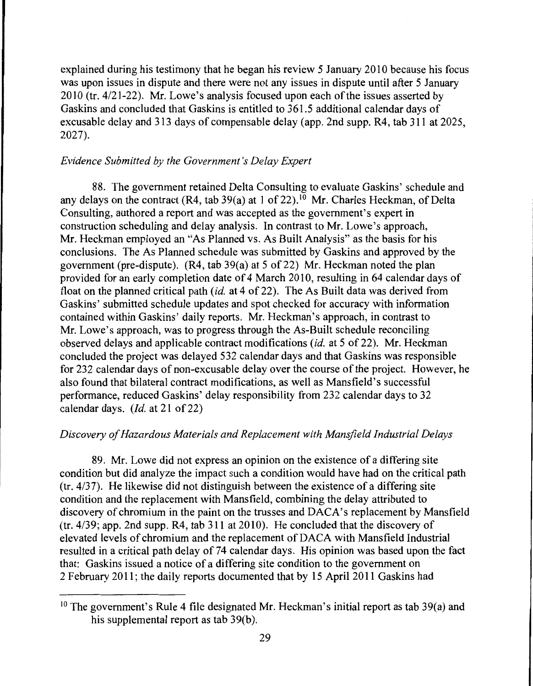explained during his testimony that he began his review 5 January 2010 because his focus was upon issues in dispute and there were not any issues in dispute until after 5 January 2010 (tr. 4/21-22). Mr. Lowe's analysis focused upon each of the issues asserted by Gaskins and concluded that Gaskins is entitled to 361.5 additional calendar days of excusable delay and 313 days of compensable delay (app. 2nd supp. R4, tab 311 at 2025, 2027).

# *Evidence Submitted by the Government's Delay Expert*

88. The government retained Delta Consulting to evaluate Gaskins' schedule and any delays on the contract (R4, tab 39(a) at 1 of 22).<sup>10</sup> Mr. Charles Heckman, of Delta Consulting, authored a report and was accepted as the government's expert in construction scheduling and delay analysis. In contrast to Mr. Lowe's approach, Mr. Heckman employed an "'As Planned vs. As Built Analysis" as the basis for his conclusions. The As Planned schedule was submitted by Gaskins and approved by the government (pre-dispute).  $(R4, tab 39(a)$  at 5 of 22) Mr. Heckman noted the plan provided for an early completion date of 4 March 2010, resulting in 64 calendar days of float on the planned critical path *(id.* at 4 of 22). The As Built data was derived from Gaskins' submitted schedule updates and spot checked for accuracy with information contained within Gaskins' daily reports. Mr. Heckman's approach, in contrast to Mr. Lowe's approach, was to progress through the As-Built schedule reconciling observed delays and applicable contract modifications *(id.* at 5 of 22). Mr. Heckman concluded the project was delayed 532 calendar days and that Gaskins was responsible for 232 calendar days of non-excusable delay over the course of the project. However, he also found that bilateral contract modifications, as well as Mansfield's successful performance, reduced Gaskins' delay responsibility from 232 calendar days to 32 calendar days. *(Id.* at 21 of 22)

# *Discovery of Hazardous Materials and Replacement with Mansfield Industrial Delays*

89. Mr. Lowe did not express an opinion on the existence of a differing site condition but did analyze the impact such a condition would have had on the critical path (tr. 4/37). He likewise did not distinguish between the existence of a differing site condition and the replacement with Mansfield, combining the delay attributed to discovery of chromium in the paint on the trusses and DACA's replacement by Mansfield (tr. 4/39; app. 2nd supp. R4, tab 311 at 2010). He concluded that the discovery of elevated levels of chromium and the replacement of DACA with Mansfield Industrial resulted in a critical path delay of 74 calendar days. His opinion was based upon the fact that: Gaskins issued a notice of a differing site condition to the government on 2 February 2011; the daily reports documented that by 15 April 2011 Gaskins had

<sup>&</sup>lt;sup>10</sup> The government's Rule 4 file designated Mr. Heckman's initial report as tab 39(a) and his supplemental report as tab 39(b).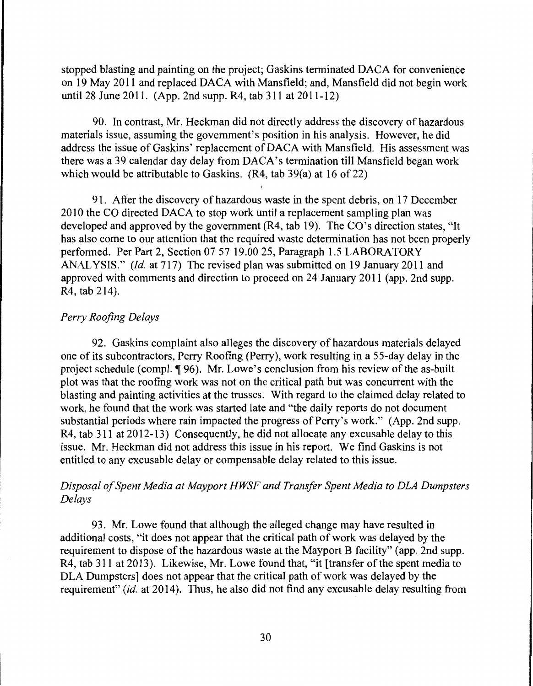stopped blasting and painting on the project; Gaskins terminated DACA for convenience on 19 May 2011 and replaced DACA with Mansfield; and, Mansfield did not begin work until 28 June 2011. (App. 2nd supp. R4, tab 311 at 2011-12)

90. In contrast, Mr. Heckman did not directly address the discovery of hazardous materials issue, assuming the government's position in his analysis. However, he did address the issue of Gaskins' replacement of DACA with Mansfield. His assessment was there was a 39 calendar day delay from DACA's termination till Mansfield began work which would be attributable to Gaskins.  $(R4, tab 39(a)$  at 16 of 22)

91. After the discovery of hazardous waste in the spent debris, on 17 December 2010 the CO directed DACA to stop work until a replacement sampling plan was developed and approved by the government (R4, tab 19). The CO's direction states, "It has also come to our attention that the required waste determination has not been properly performed. Per Part 2, Section 07 57 19.00 25, Paragraph 1.5 LABORATORY ANALYSIS." *(Id.* at 717) The revised plan was submitted on 19 January 2011 and approved with comments and direction to proceed on 24 January 2011 (app. 2nd supp. R4, tab 214).

# *Perry Roofing Delays*

92. Gaskins complaint also alleges the discovery of hazardous materials delayed one of its subcontractors, Perry Roofing (Perry), work resulting in a 55-day delay in the project schedule (compl. ¶ 96). Mr. Lowe's conclusion from his review of the as-built plot was that the roofing work was not on the critical path but was concurrent with the blasting and painting activities at the trusses. With regard to the claimed delay related to work, he found that the work was started late and "the daily reports do not document substantial periods where rain impacted the progress of Perry's work." (App. 2nd supp. R4, tab 311 at 2012-13) Consequently, he did not allocate any excusable delay to this issue. Mr. Heckman did not address this issue in his report. We find Gaskins is not entitled to any excusable delay or compensable delay related to this issue.

# *Disposal of Spent Media at Mayport HWSF and Transfer Spent Media to DLA Dumpsters Delays*

93. Mr. Lowe found that although the alleged change may have resulted in additional costs, "it does not appear that the critical path of work was delayed by the requirement to dispose of the hazardous waste at the Mayport B facility" (app. 2nd supp. R4, tab 311 at 2013). Likewise, Mr. Lowe found that, "it [transfer of the spent media to DLA Dumpsters] does not appear that the critical path of work was delayed by the requirement" *(id.* at 2014). Thus, he also did not find any excusable delay resulting from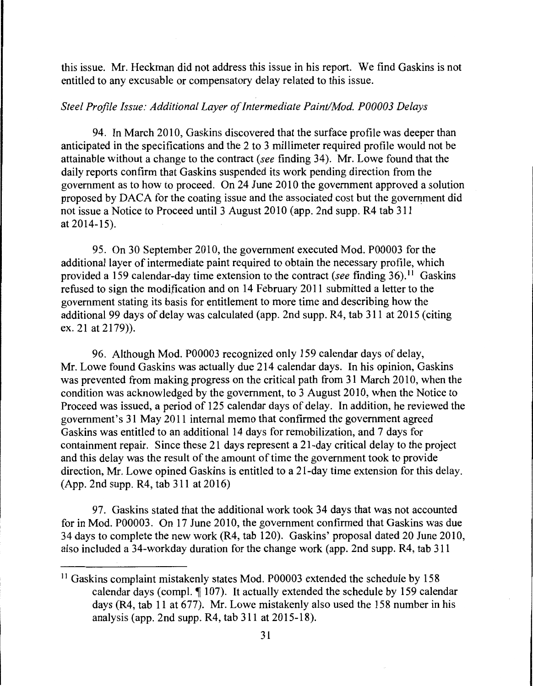this issue. Mr. Heckman did not address this issue in his report. We find Gaskins is not entitled to any excusable or compensatory delay related to this issue.

# *Steel Profile Issue: Additional Layer of Intermediate Paint/Mod. P00003 Delays*

94. In March 2010, Gaskins discovered that the surface profile was deeper than anticipated in the specifications and the 2 to 3 millimeter required profile would not be attainable without a change to the contract *(see* finding 34 ). Mr. Lowe found that the daily reports confirm that Gaskins suspended its work pending direction from the government as to how to proceed. On 24 June 2010 the government approved a solution proposed by DACA for the coating issue and the associated cost but the government did not issue a Notice to Proceed until 3 August 2010 (app. 2nd supp. R4 tab 311 at 2014-15).

95. On 30 September 2010, the government executed Mod. P00003 for the additional layer of intermediate paint required to obtain the necessary profile, which provided a 159 calendar-day time extension to the contract *(see* finding 36). <sup>11</sup>Gaskins refused to sign the modification and on 14 February 2011 submitted a letter to the government stating its basis for entitlement to more time and describing how the additional 99 days of delay was calculated ( app. 2nd supp. R4, tab 311 at 2015 (citing ex. 21 at 2179)).

96. Although Mod. P00003 recognized only 159 calendar days of delay, Mr. Lowe found Gaskins was actually due 214 calendar days. In his opinion, Gaskins was prevented from making progress on the critical path from 31 March 2010, when the condition was acknowledged by the government, to 3 August 2010, when the Notice to Proceed was issued, a period of 125 calendar days of delay. In addition, he reviewed the government's 3 1 May 2011 internal memo that confirmed the government agreed Gaskins was entitled to an additional 14 days for remobilization, and 7 days for containment repair. Since these 21 days represent a 21-day critical delay to the project and this delay was the result of the amount of time the government took to provide direction, Mr. Lowe opined Gaskins is entitled to a 21-day time extension for this delay. (App. 2nd supp. R4, tab 311 at 2016)

97. Gaskins stated that the additional work took 34 days that was not accounted for in Mod. P00003. On 17 June 2010, the government confirmed that Gaskins was due 34 days to complete the new work (R4, tab 120). Gaskins' proposal dated 20 June 2010, also included a 34-workday duration for the change work (app. 2nd supp. R4, tab 311

<sup>&</sup>lt;sup>11</sup> Gaskins complaint mistakenly states Mod. P00003 extended the schedule by 158 calendar days (compl.  $\llbracket 107 \rrbracket$ ). It actually extended the schedule by 159 calendar days (R4, tab 11 at 677). Mr. Lowe mistakenly also used the 158 number in his analysis (app. 2nd supp. R4, tab 311 at 2015-18).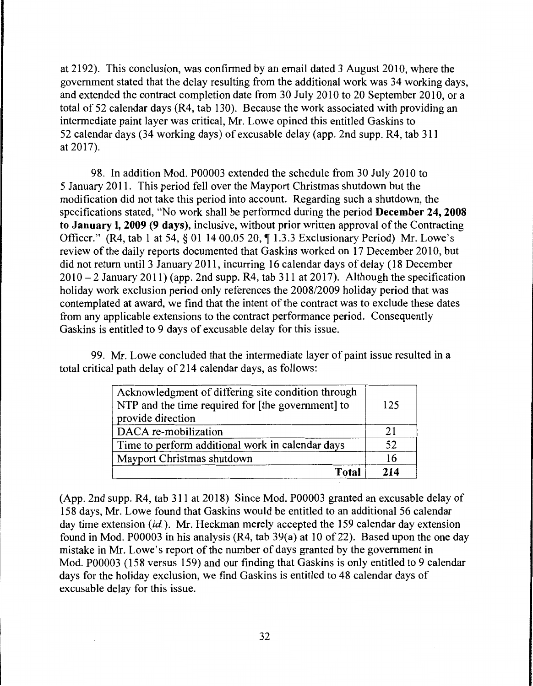at 2192). This conclusion, was confirmed by an email dated 3 August 2010, where the government stated that the delay resulting from the additional work was 34 working days, and extended the contract completion date from 30 July 2010 to 20 September 2010, or a total of 52 calendar days (R4, tab 130). Because the work associated with providing an intermediate paint layer was critical, Mr. Lowe opined this entitled Gaskins to 52 calendar days (34 working days) of excusable delay (app. 2nd supp. R4, tab 311 at 2017).

98. In addition Mod. P00003 extended the schedule from 30 July 2010 to 5 January 2011. This period fell over the Mayport Christmas shutdown but the modification did not take this period into account. Regarding such a shutdown, the specifications stated, "No work shall be performed during the period **December 24, 2008 to January I, 2009 (9 days),** inclusive, without prior written approval of the Contracting Officer." (R4, tab 1 at 54,  $\S$  01 14 00.05 20,  $\P$  1.3.3 Exclusionary Period) Mr. Lowe's review of the daily reports documented that Gaskins worked on 17 December 2010, but did not return until 3 January 2011, incurring 16 calendar days of delay ( 18 December  $2010 - 2$  January 2011) (app. 2nd supp. R4, tab 311 at 2017). Although the specification holiday work exclusion period only references the 2008/2009 holiday period that was contemplated at award, we find that the intent of the contract was to exclude these dates from any applicable extensions to the contract performance period. Consequently Gaskins is entitled to 9 days of excusable delay for this issue.

99. Mr. Lowe concluded that the intermediate layer of paint issue resulted in a total critical path delay of 214 calendar days, as follows:

| Acknowledgment of differing site condition through<br>NTP and the time required for [the government] to<br>provide direction | 125 |
|------------------------------------------------------------------------------------------------------------------------------|-----|
| DACA re-mobilization                                                                                                         | 21  |
| Time to perform additional work in calendar days                                                                             | 52  |
| Mayport Christmas shutdown                                                                                                   | 16  |
| Total                                                                                                                        | 214 |

(App. 2nd supp. R4, tab 311 at 2018) Since Mod. P00003 granted an excusable delay of 158 days, Mr. Lowe found that Gaskins would be entitled to an additional 56 calendar day time extension *(id.).* Mr. Heckman merely accepted the 159 calendar day extension found in Mod. P00003 in his analysis  $(R4, tab 39(a)$  at 10 of 22). Based upon the one day mistake in Mr. Lowe's report of the number of days granted by the government in Mod. P00003 (158 versus 159) and our finding that Gaskins is only entitled to 9 calendar days for the holiday exclusion, we find Gaskins is entitled to 48 calendar days of excusable delay for this issue.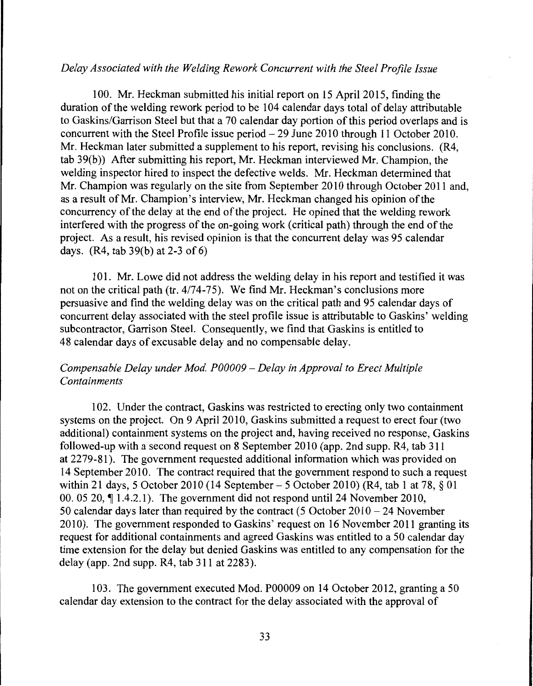## *Delay Associated with the Welding Rework Concurrent with the Steel Profile Issue*

100. Mr. Heckman submitted his initial report on 15 April 2015, finding the duration of the welding rework period to be 104 calendar days total of delay attributable to Gaskins/Garrison Steel but that a 70 calendar day portion of this period overlaps and is concurrent with the Steel Profile issue period- 29 June 2010 through 11 October 2010. Mr. Heckman later submitted a supplement to his report, revising his conclusions. (R4, tab 39(b)) After submitting his report, Mr. Heckman interviewed Mr. Champion, the welding inspector hired to inspect the defective welds. Mr. Heckman determined that Mr. Champion was regularly on the site from September 2010 through October 2011 and, as a result of Mr. Champion's interview, Mr. Heckman changed his opinion of the concurrency of the delay at the end of the project. He opined that the welding rework interfered with the progress of the on-going work (critical path) through the end of the project. As a result, his revised opinion is that the concurrent delay was 95 calendar days. (R4, tab 39(b) at 2-3 of 6)

101. Mr. Lowe did not address the welding delay in his report and testified it was not on the critical path (tr. 4/74-75). We find Mr. Heckman's conclusions more persuasive and find the welding delay was on the critical path and 95 calendar days of concurrent delay associated with the steel profile issue is attributable to Gaskins' welding subcontractor, Garrison Steel. Consequently, we find that Gaskins is entitled to 48 calendar days of excusable delay and no compensable delay.

# *Compensable Delay under Mod. P00009* - *Delay in Approval to Erect Multiple Containments*

102. Under the contract, Gaskins was restricted to erecting only two containment systems on the project. On 9 April 2010, Gaskins submitted a request to erect four (two additional) containment systems on the project and, having received no response, Gaskins followed-up with a second request on 8 September 2010 (app. 2nd supp. R4, tab 311) at 2279-81). The government requested additional information which was provided on 14 September 2010. The contract required that the government respond to such a request within 21 days, 5 October 2010 (14 September - 5 October 2010) (R4, tab 1 at 78, § 01 00. 05 20,  $\P$  1.4.2.1). The government did not respond until 24 November 2010, 50 calendar days later than required by the contract (5 October 2010 - 24 November 2010). The government responded to Gaskins' request on 16 November 2011 granting its request for additional containments and agreed Gaskins was entitled to a 50 calendar day time extension for the delay but denied Gaskins was entitled to any compensation for the delay (app. 2nd supp. R4, tab 311 at 2283).

103. The government executed Mod. P00009 on 14 October 2012, granting a 50 calendar day extension to the contract for the delay associated with the approval of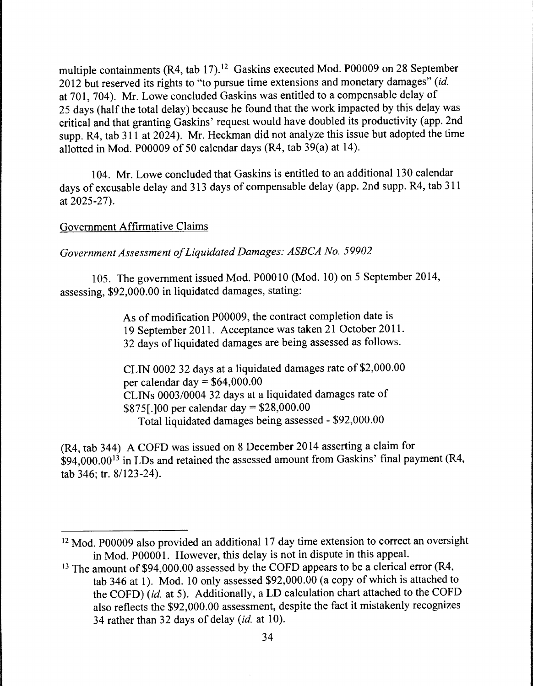multiple containments (R4, tab 17).<sup>12</sup> Gaskins executed Mod. P00009 on 28 September 2012 but reserved its rights to "to pursue time extensions and monetary damages" *(id.*  at 701, 704). Mr. Lowe concluded Gaskins was entitled to a compensable delay of 25 days (half the total delay) because he found that the work impacted by this delay was critical and that granting Gaskins' request would have doubled its productivity (app. 2nd supp. R4, tab  $311$  at  $2024$ ). Mr. Heckman did not analyze this issue but adopted the time allotted in Mod. P00009 of 50 calendar days (R4, tab 39(a) at 14).

104. Mr. Lowe concluded that Gaskins is entitled to an additional 130 calendar days of excusable delay and 313 days of compensable delay (app. 2nd supp. R4, tab 311 at 2025-27).

# Government Affirmative Claims

*Government Assessment of Liquidated Damages: ASBCA No. 59902* 

105. The government issued Mod. POOOlO (Mod. 10) on 5 September 2014, assessing, \$92,000.00 in liquidated damages, stating:

> As of modification P00009, the contract completion date is 19 September 2011. Acceptance was taken 21 October 2011. 32 days of liquidated damages are being assessed as follows.

CLIN 0002 32 days at a liquidated damages rate of \$2,000.00 per calendar day =  $$64,000.00$ CLINs 0003/0004 32 days at a liquidated damages rate of \$875[.]00 per calendar day= \$28,000.00 Total liquidated damages being assessed - \$92,000.00

(R4, tab 344) A COFD was issued on 8 December 2014 asserting a claim for  $\hat{S}94,000.00^{13}$  in LDs and retained the assessed amount from Gaskins' final payment (R4, tab 346; tr. 8/123-24).

<sup>&</sup>lt;sup>12</sup> Mod. P00009 also provided an additional 17 day time extension to correct an oversight in Mod. POOOO 1. However, this delay is not in dispute in this appeal.

<sup>&</sup>lt;sup>13</sup> The amount of \$94,000.00 assessed by the COFD appears to be a clerical error (R4, tab 346 at 1). Mod. 10 only assessed \$92,000.00 (a copy of which is attached to the COFD) *(id.* at 5). Additionally, a LD calculation chart attached to the COFD also reflects the \$92,000.00 assessment, despite the fact it mistakenly recognizes 34 rather than 32 days of delay *(id.* at 10).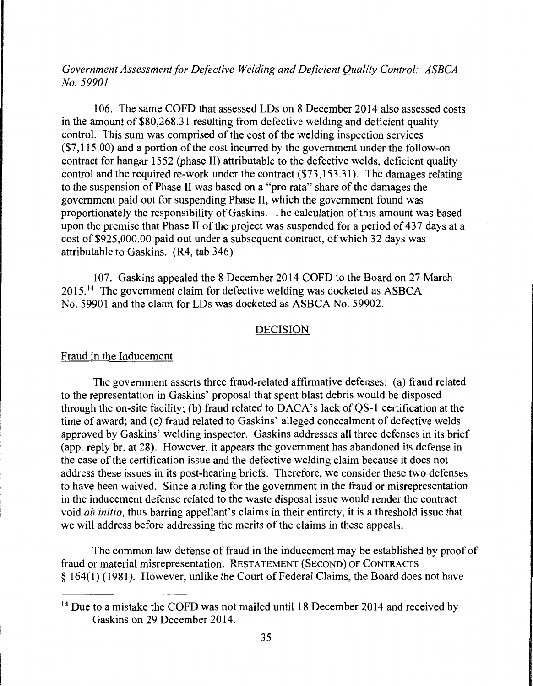*Government Assessment for Defective Welding and Deficient Quality Control: ASBCA No. 59901* 

106. The same COFD that assessed LDs on 8 December 2014 also assessed costs in the amount of \$80,268.31 resulting from defective welding and deficient quality control. This sum was comprised of the cost of the welding inspection services (\$7,115.00) and a portion of the cost incurred by the government under the follow-on contract for hangar 1552 (phase II) attributable to the defective welds, deficient quality control and the required re-work under the contract (\$73,153.31). The damages relating to the suspension of Phase II was based on a "pro rata" share of the damages the government paid out for suspending Phase II, which the government found was proportionately the responsibility of Gaskins. The calculation of this amount was based upon the premise that Phase II of the project was suspended for a period of 437 days at a cost of \$925,000.00 paid out under a subsequent contract, of which 32 days was attributable to Gaskins. (R4, tab 346)

107. Gaskins appealed the 8 December 2014 COFD to the Board on 27 March  $2015$ <sup>14</sup> The government claim for defective welding was docketed as ASBCA No. 59901 and the claim for LDs was docketed as ASBCA No. 59902.

#### DECISION

#### Fraud in the Inducement

The government asserts three fraud-related affirmative defenses: (a) fraud related to the representation in Gaskins' proposal that spent blast debris would be disposed through the on-site facility; (b) fraud related to  $DACA$ 's lack of QS-1 certification at the time of award; and (c) fraud related to Gaskins' alleged concealment of defective welds approved by Gaskins' welding inspector. Gaskins addresses all three defenses in its brief (app. reply br. at 28). However, it appears the government has abandoned its defense in the case of the certification issue and the defective welding claim because it does not address these issues in its post-hearing briefs. Therefore, we consider these two defenses to have been waived. Since a ruling for the government in the fraud or misrepresentation in the inducement defense related to the waste disposal issue would render the contract void *ab initio,* thus barring appellant's claims in their entirety, it is a threshold issue that we will address before addressing the merits of the claims in these appeals.

The common law defense of fraud in the inducement may be established by proof of fraud or material misrepresentation. RESTATEMENT (SECOND) OF CONTRACTS § 164( 1) ( 1981 ). However, unlike the Court of Federal Claims, the Board does not have

<sup>&</sup>lt;sup>14</sup> Due to a mistake the COFD was not mailed until 18 December 2014 and received by Gaskins on 29 December 2014.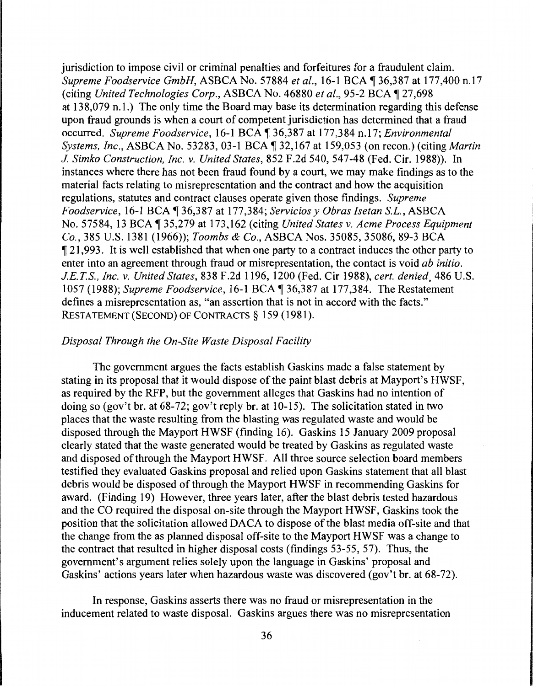jurisdiction to impose civil or criminal penalties and forfeitures for a fraudulent claim. *Supreme Foodservice GmbH, ASBCA No. 57884 et al., 16-1 BCA ¶ 36,387 at 177,400 n.17* (citing *United Technologies Corp., ASBCA No. 46880 et al., 95-2 BCA* 127,698 at 13 8,079 n. l.) The only time the Board may base its determination regarding this defense upon fraud grounds is when a court of competent jurisdiction has determined that a fraud occurred. *Supreme Foodservice*, 16-1 BCA ¶ 36,387 at 177,384 n.17; *Environmental Systems, Inc., ASBCA No. 53283, 03-1 BCA* 132,167 at 159,053 (on recon.) (citing *Martin J. Simko Construction, Inc.* v. *United States,* 852 F.2d 540, 547-48 (Fed. Cir. 1988)). In instances where there has not been fraud found by a court, we may make findings as to the material facts relating to misrepresentation and the contract and how the acquisition regulations, statutes and contract clauses operate given those findings. *Supreme Foodservice, 16-1 BCA* 136,387 at 177,384; *Servicios y Obras Isetan S.L., ASBCA* No. 57584, 13 BCA 135,279 at 173,162 (citing *United States v. Acme Process Equipment Co.,* 385 U.S. 1381 (1966)); *Toombs* & *Co.,* ASBCA Nos. 35085, 35086, 89-3 BCA  $\llbracket 21,993$ . It is well established that when one party to a contract induces the other party to enter into an agreement through fraud or misrepresentation, the contact is void *ab initio. J.E.T.S., Inc.* v. *United States,* 838 F.2d 1196, 1200 (Fed. Cir 1988), *cert. denied.* 486 U.S. 1057 (1988); *Supreme Foodservice*, 16-1 BCA ¶ 36,387 at 177,384. The Restatement defines a misrepresentation as, "an assertion that is not in accord with the facts." RESTATEMENT (SECOND) OF CONTRACTS§ 159 (1981).

#### *Disposal Through the On-Site Waste Disposal Facility*

The government argues the facts establish Gaskins made a false statement by stating in its proposal that it would dispose of the paint blast debris at Mayport's HWSF, as required by the RFP, but the government alleges that Gaskins had no intention of doing so (gov't br. at 68-72; gov't reply hr. at 10-15). The solicitation stated in two places that the waste resulting from the blasting was regulated waste and would be disposed through the Mayport HWSF (finding 16). Gaskins 15 January 2009 proposal clearly stated that the waste generated would be treated by Gaskins as regulated waste and disposed of through the Mayport HWSF. All three source selection board members testified they evaluated Gaskins proposal and relied upon Gaskins statement that all blast debris would be disposed of through the Mayport HWSF in recommending Gaskins for award. (Finding 19) However, three years later, after the blast debris tested hazardous and the CO required the disposal on-site through the Mayport HWSF, Gaskins took the position that the solicitation allowed DACA to dispose of the blast media off-site and that the change from the as planned disposal off-site to the Mayport HWSF was a change to the contract that resulted in higher disposal costs (findings 53-55, 57). Thus, the government's argument relies solely upon the language in Gaskins' proposal and Gaskins' actions years later when hazardous waste was discovered (gov't br. at 68-72).

In response, Gaskins asserts there was no fraud or misrepresentation in the inducement related to waste disposal. Gaskins argues there was no misrepresentation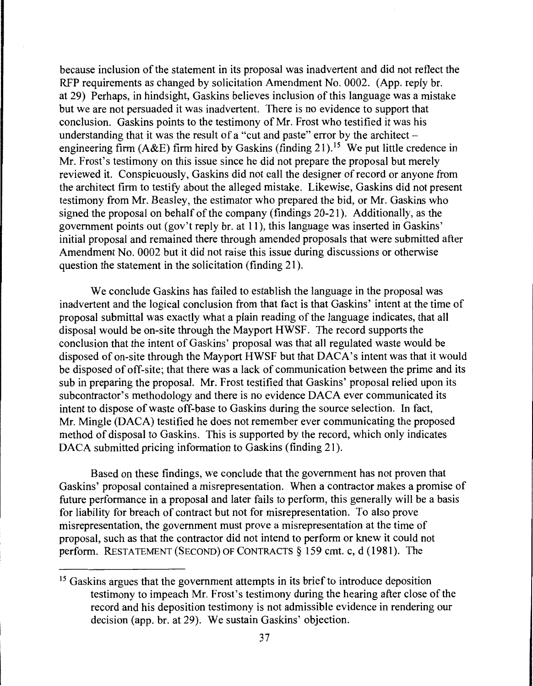because inclusion of the statement in its proposal was inadvertent and did not reflect the RFP requirements as changed by solicitation Amendment No. 0002. (App. reply br. at 29) Perhaps, in hindsight, Gaskins believes inclusion of this language was a mistake but we are not persuaded it was inadvertent. There is no evidence to support that conclusion. Gaskins points to the testimony of Mr. Frost who testified it was his understanding that it was the result of a "cut and paste" error by the architect  $$ engineering firm (A&E) firm hired by Gaskins (finding 21).<sup>15</sup> We put little credence in Mr. Frost's testimony on this issue since he did not prepare the proposal but merely reviewed it. Conspicuously, Gaskins did not call the designer of record or anyone from the architect firm to testify about the alleged mistake. Likewise, Gaskins did not present testimony from Mr. Beasley, the estimator who prepared the bid, or Mr. Gaskins who signed the proposal on behalf of the company (findings 20-21). Additionally, as the government points out (gov't reply br. at 11), this language was inserted in Gaskins' initial proposal and remained there through amended proposals that were submitted after Amendment No. 0002 but it did not raise this issue during discussions or otherwise question the statement in the solicitation (finding 21 ).

We conclude Gaskins has failed to establish the language in the proposal was inadvertent and the logical conclusion from that fact is that Gaskins' intent at the time of proposal submittal was exactly what a plain reading of the language indicates, that all disposal would be on-site through the Mayport HWSF. The record supports the conclusion that the intent of Gaskins' proposal was that all regulated waste would be disposed of on-site through the Mayport HWSF but that DACA's intent was that it would be disposed of off-site; that there was a lack of communication between the prime and its sub in preparing the proposal. Mr. Frost testified that Gaskins' proposal relied upon its subcontractor's methodology and there is no evidence DACA ever communicated its intent to dispose of waste off-base to Gaskins during the source selection. In fact, Mr. Mingle (DACA) testified he does not remember ever communicating the proposed method of disposal to Gaskins. This is supported by the record, which only indicates DACA submitted pricing information to Gaskins (finding 21).

Based on these findings, we conclude that the government has not proven that Gaskins' proposal contained a misrepresentation. When a contractor makes a promise of future performance in a proposal and later fails to perform, this generally will be a basis for liability for breach of contract but not for misrepresentation. To also prove misrepresentation, the government must prove a misrepresentation at the time of proposal, such as that the contractor did not intend to perform or knew it could not perform. RESTATEMENT (SECOND) OF CONTRACTS § 159 cmt. c, d ( 1981 ). The

<sup>&</sup>lt;sup>15</sup> Gaskins argues that the government attempts in its brief to introduce deposition testimony to impeach Mr. Frost's testimony during the hearing after close of the record and his deposition testimony is not admissible evidence in rendering our decision (app. br. at 29). We sustain Gaskins' objection.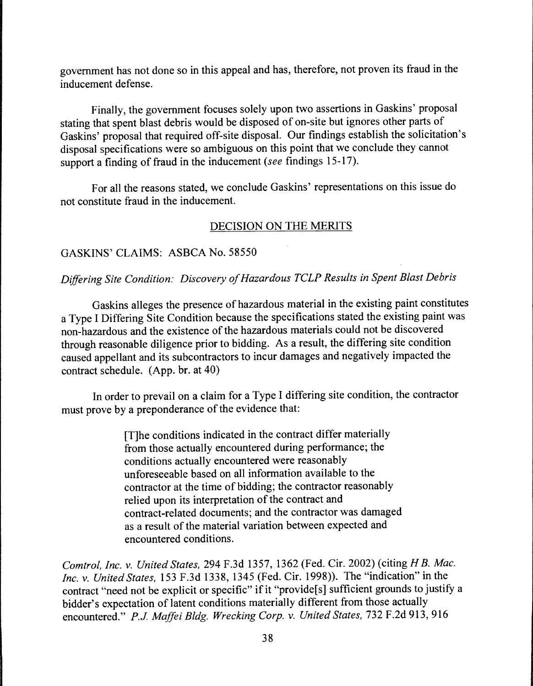government has not done so in this appeal and has, therefore, not proven its fraud in the inducement defense.

Finally, the government focuses solely upon two assertions in Gaskins' proposal stating that spent blast debris would be disposed of on-site but ignores other parts of Gaskins' proposal that required off-site disposal. Our findings establish the solicitation's disposal specifications were so ambiguous on this point that we conclude they cannot support a finding of fraud in the inducement *(see* findings 15-17).

For all the reasons stated, we conclude Gaskins' representations on this issue do not constitute fraud in the inducement.

# DECISION ON THE MERITS

# GASKINS' CLAIMS: ASBCA No. 58550

# *Differing Site Condition: Discovery of Hazardous TCLP Results in Spent Blast Debris*

Gaskins alleges the presence of hazardous material in the existing paint constitutes a Type I Differing Site Condition because the specifications stated the existing paint was non-hazardous and the existence of the hazardous materials could not be discovered through reasonable diligence prior to bidding. As a result, the differing site condition caused appellant and its subcontractors to incur damages and negatively impacted the contract schedule. (App. br. at 40)

In order to prevail on a claim for a Type I differing site condition, the contractor must prove by a preponderance of the evidence that:

> [T]he conditions indicated in the contract differ materially from those actually encountered during performance; the conditions actually encountered were reasonably unforeseeable based on all information available to the contractor at the time of bidding; the contractor reasonably relied upon its interpretation of the contract and contract-related documents; and the contractor was damaged as a result of the material variation between expected and encountered conditions.

*Comtrol, Inc.* v. *United States,* 294 F.3d 1357, 1362 (Fed. Cir. 2002) (citing *H B. Mac. Inc.* v. *United States,* 153 F.3d 1338, 1345 (Fed. Cir. 1998)). The "indication" in the contract "need not be explicit or specific" if it "provide[s] sufficient grounds to justify a bidder's expectation of latent conditions materially different from those actually encountered." *P.J Maffei Bldg. Wrecking Corp.* v. *United States,* 732 F.2d 913, 916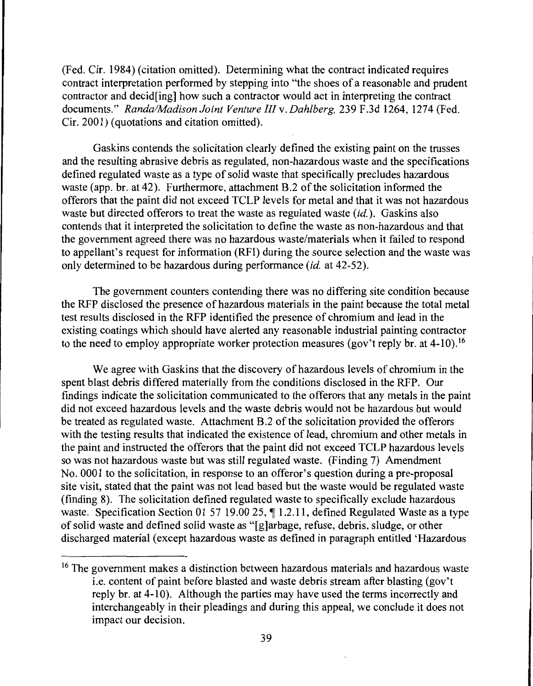(Fed. Cir. 1984) (citation omitted). Determining what the contract indicated requires contract interpretation performed by stepping into "the shoes of a reasonable and prudent contractor and decid[ing] how such a contractor would act in interpreting the contract documents." *Randa/Madison Joint Venture Illv. Dahlberg,* 239 F.3d 1264, 1274 (Fed. Cir. 2001) (quotations and citation omitted).

Gaskins contends the solicitation clearly defined the existing paint on the trusses and the resulting abrasive debris as regulated, non-hazardous waste and the specifications defined regulated waste as a type of solid waste that specifically precludes hazardous waste (app. br. at 42). Furthermore, attachment B.2 of the solicitation informed the offerors that the paint did not exceed TCLP levels for metal and that it was not hazardous waste but directed offerors to treat the waste as regulated waste *(id.).* Gaskins also contends that it interpreted the solicitation to define the waste as non-hazardous and that the government agreed there was no hazardous waste/materials when it failed to respond to appellant's request for information (RFI) during the source selection and the waste was only determined to be hazardous during performance *(id.* at 42-52).

The government counters contending there was no differing site condition because the RFP disclosed the presence of hazardous materials in the paint because the total metal test results disclosed in the RFP identified the presence of chromium and lead in the existing coatings which should have alerted any reasonable industrial painting contractor to the need to employ appropriate worker protection measures (gov't reply br. at 4-10).<sup>16</sup>

We agree with Gaskins that the discovery of hazardous levels of chromium in the spent blast debris differed materially from the conditions disclosed in the RFP. Our findings indicate the solicitation communicated to the offerors that any metals in the paint did not exceed hazardous levels and the waste debris would not be hazardous but would be treated as regulated waste. Attachment B.2 of the solicitation provided the offerors with the testing results that indicated the existence of lead, chromium and other metals in the paint and instructed the offerors that the paint did not exceed TCLP hazardous levels so was not hazardous waste but was still regulated waste. (Finding 7) Amendment No. 0001 to the solicitation, in response to an offeror's question during a pre-proposal site visit, stated that the paint was not lead based but the waste would be regulated waste (finding 8). The solicitation defined regulated waste to specifically exclude hazardous waste. Specification Section 01 57 19.00 25,  $\P$  1.2.11, defined Regulated Waste as a type of solid waste and defined solid waste as "[g]arbage, refuse, debris, sludge, or other discharged material (except hazardous waste as defined in paragraph entitled 'Hazardous

<sup>&</sup>lt;sup>16</sup> The government makes a distinction between hazardous materials and hazardous waste i.e. content of paint before blasted and waste debris stream after blasting (gov't reply br. at 4-10). Although the parties may have used the terms incorrectly and interchangeably in their pleadings and during this appeal, we conclude it does not impact our decision.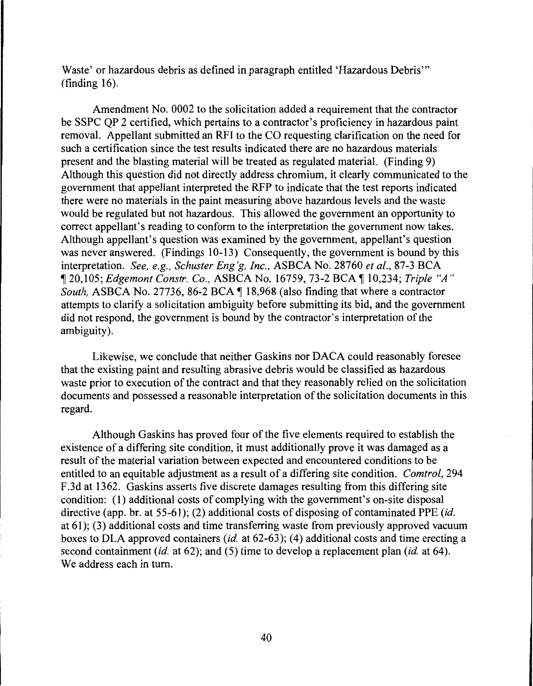Waste' or hazardous debris as defined in paragraph entitled 'Hazardous Debris"' (finding 16).

Amendment No. 0002 to the solicitation added a requirement that the contractor be SSPC QP 2 certified, which pertains to a contractor's proficiency in hazardous paint removal. Appellant submitted an RFI to the CO requesting clarification on the need for such a certification since the test results indicated there are no hazardous materials present and the blasting material will be treated as regulated material. (Finding 9) Although this question did not directly address chromium, it clearly communicated to the government that appellant interpreted the RFP to indicate that the test reports indicated there were no materials in the paint measuring above hazardous levels and the waste would be regulated but not hazardous. This allowed the government an opportunity to correct appellant's reading to conform to the interpretation the government now takes. Although appellant's question was examined by the government, appellant's question was never answered. (Findings 10-13) Consequently, the government is bound by this interpretation. *See, e.g., Schuster Eng'g, Inc.,* ASBCA No. 28760 *et al.,* 87-3 BCA <sup>~</sup>20,105; *Edgemont Constr. Co.,* ASBCA No. 16759, 73-2 BCA ~ 10,234; *Triple "A" South, ASBCA No. 27736, 86-2 BCA*  $\P$  *18,968 (also finding that where a contractor* attempts to clarify a solicitation ambiguity before submitting its bid, and the government did not respond, the government is bound by the contractor's interpretation of the ambiguity).

Likewise, we conclude that neither Gaskins nor DACA could reasonably foresee that the existing paint and resulting abrasive debris would be classified as hazardous waste prior to execution of the contract and that they reasonably relied on the solicitation documents and possessed a reasonable interpretation of the solicitation documents in this regard.

Although Gaskins has proved four of the five elements required to establish the existence of a differing site condition, it must additionally prove it was damaged as a result of the material variation between expected and encountered conditions to be entitled to an equitable adjustment as a result of a differing site condition. *Comtrol,* 294 F .3d at 1362. Gaskins asserts five discrete damages resulting from this differing site condition: (1) additional costs of complying with the government's on-site disposal directive (app. br. at 55-61); (2) additional costs of disposing of contaminated PPE *(id.* at 61); (3) additional costs and time transferring waste from previously approved vacuum boxes to DLA approved containers *(id.* at 62-63); (4) additional costs and time erecting a second containment *(id.* at 62); and (5) time to develop a replacement plan *(id.* at 64). We address each in turn.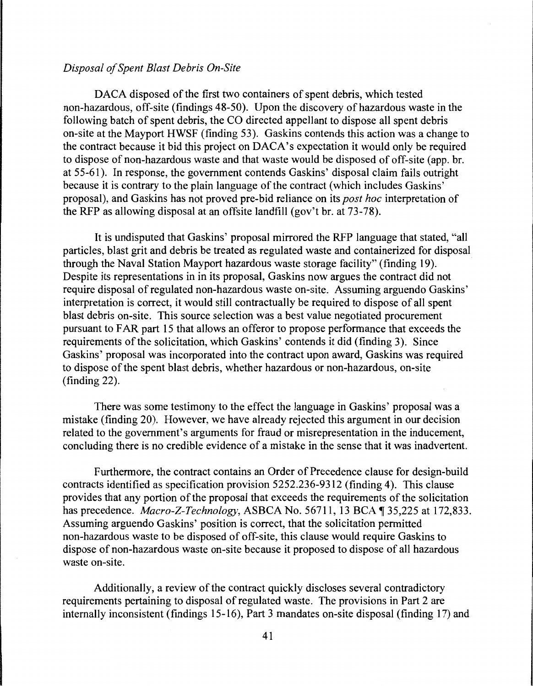## *Disposal of Spent Blast Debris On-Site*

DACA disposed of the first two containers of spent debris, which tested non-hazardous, off-site (findings 48-50). Upon the discovery of hazardous waste in the following batch of spent debris, the CO directed appellant to dispose all spent debris on-site at the Mayport HWSF (finding 53). Gaskins contends this action was a change to the contract because it bid this project on DACA's expectation it would only be required to dispose of non-hazardous waste and that waste would be disposed of off-site ( app. br. at 55-61). In response, the government contends Gaskins' disposal claim fails outright because it is contrary to the plain language of the contract (which includes Gaskins' proposal), and Gaskins has not proved pre-bid reliance on its *post hoc* interpretation of the RFP as allowing disposal at an offsite landfill (gov't br. at 73-78).

It is undisputed that Gaskins' proposal mirrored the RFP language that stated, "all particles, blast grit and debris be treated as regulated waste and containerized for disposal through the Naval Station Mayport hazardous waste storage facility" (finding 19). Despite its representations in in its proposal, Gaskins now argues the contract did not require disposal of regulated non-hazardous waste on-site. Assuming arguendo Gaskins' interpretation is correct, it would still contractually be required to dispose of all spent blast debris on-site. This source selection was a best value negotiated procurement pursuant to FAR part 15 that allows an offeror to propose performance that exceeds the requirements of the solicitation, which Gaskins' contends it did (finding 3). Since Gaskins' proposal was incorporated into the contract upon award, Gaskins was required to dispose of the spent blast debris, whether hazardous or non-hazardous, on-site (finding 22).

There was some testimony to the effect the language in Gaskins' proposal was a mistake (finding 20). However, we have already rejected this argument in our decision related to the government's arguments for fraud or misrepresentation in the inducement, concluding there is no credible evidence of a mistake in the sense that it was inadvertent.

Furthermore, the contract contains an Order of Precedence clause for design-build contracts identified as specification provision 5252.236-9312 (finding 4). This clause provides that any portion of the proposal that exceeds the requirements of the solicitation has precedence. *Macro-Z-Technology*, ASBCA No. 56711, 13 BCA ¶ 35,225 at 172,833. Assuming arguendo Gaskins' position is correct, that the solicitation permitted non-hazardous waste to be disposed of off-site, this clause would require Gaskins to dispose of non-hazardous waste on-site because it proposed to dispose of all hazardous waste on-site.

Additionally, a review of the contract quickly discloses several contradictory requirements pertaining to disposal of regulated waste. The provisions in Part 2 are internally inconsistent (findings 15-16), Part 3 mandates on-site disposal (finding 17) and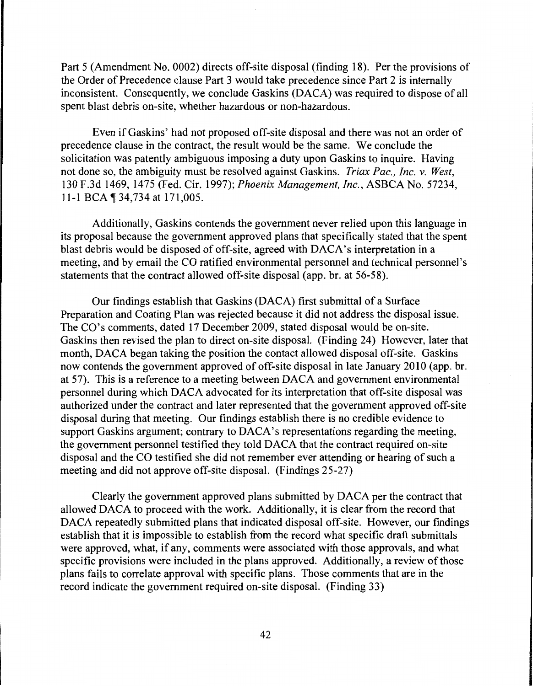Part 5 (Amendment No. 0002) directs off-site disposal (finding 18). Per the provisions of the Order of Precedence clause Part 3 would take precedence since Part 2 is internally inconsistent. Consequently, we conclude Gaskins (DACA) was required to dispose of all spent blast debris on-site, whether hazardous or non-hazardous.

Even if Gaskins' had not proposed off-site disposal and there was not an order of precedence clause in the contract, the result would be the same. We conclude the solicitation was patently ambiguous imposing a duty upon Gaskins to inquire. Having not done so, the ambiguity must be resolved against Gaskins. *Triax Pac., Inc. v. West,*  130 F.3d 1469, 1475 (Fed. Cir. 1997); *Phoenix Management, Inc.,* ASBCA No. 57234, 11-1 BCA 134,734 at 171,005.

Additionally, Gaskins contends the government never relied upon this language in its proposal because the government approved plans that specifically stated that the spent blast debris would be disposed of off-site, agreed with DACA's interpretation in a meeting, and by email the CO ratified environmental personnel and technical personnel's statements that the contract allowed off-site disposal (app. br. at 56-58).

Our findings establish that Gaskins (DACA) first submittal of a Surface Preparation and Coating Plan was rejected because it did not address the disposal issue. The CO's comments, dated 17 December 2009, stated disposal would be on-site. Gaskins then revised the plan to direct on-site disposal. (Finding 24) However, later that month, DACA began taking the position the contact allowed disposal off-site. Gaskins now contends the government approved of off-site disposal in late January 2010 (app. br. at 57). This is a reference to a meeting between DACA and government environmental personnel during which DACA advocated for its interpretation that off-site disposal was authorized under the contract and later represented that the government approved off-site disposal during that meeting. Our findings establish there is no credible evidence to support Gaskins argument; contrary to DACA's representations regarding the meeting, the government personnel testified they told DACA that the contract required on-site disposal and the CO testified she did not remember ever attending or hearing of such a meeting and did not approve off-site disposal. (Findings 25-27)

Clearly the government approved plans submitted by DACA per the contract that allowed DACA to proceed with the work. Additionally, it is clear from the record that DACA repeatedly submitted plans that indicated disposal off-site. However, our findings establish that it is impossible to establish from the record what specific draft submittals were approved, what, if any, comments were associated with those approvals, and what specific provisions were included in the plans approved. Additionally, a review of those plans fails to correlate approval with specific plans. Those comments that are in the record indicate the government required on-site disposal. (Finding 33)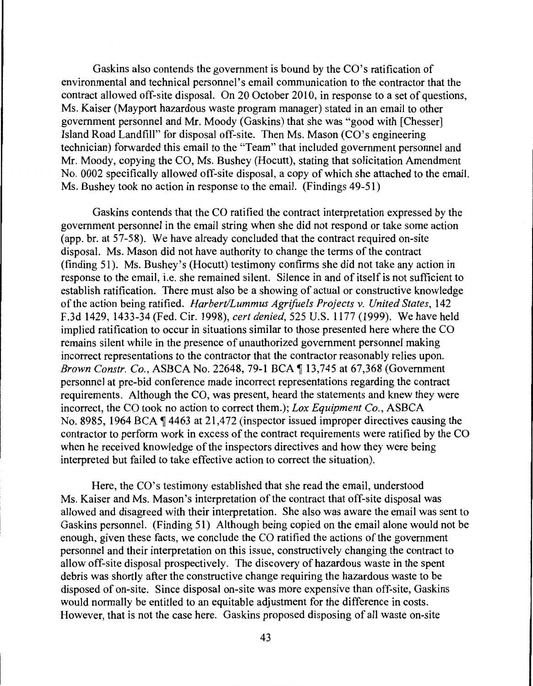Gaskins also contends the government is bound by the CO's ratification of environmental and technical personnel's email communication to the contractor that the contract allowed off-site disposal. On 20 October 2010, in response to a set of questions, Ms. Kaiser (Mayport hazardous waste program manager) stated in an email to other government personnel and Mr. Moody (Gaskins) that she was "good with [Chesser] Island Road Landfill" for disposal off-site. Then Ms. Mason (CO's engineering technician) forwarded this email to the "Team" that included government personnel and Mr. Moody, copying the CO, Ms. Bushey (Hocutt), stating that solicitation Amendment No. 0002 specifically allowed off-site disposal, a copy of which she attached to the email. Ms. Bushey took no action in response to the email. (Findings 49-51)

Gaskins contends that the CO ratified the contract interpretation expressed by the government personnel in the email string when she did not respond or take some action (app. br. at 57-58). We have already concluded that the contract required on-site disposal. Ms. Mason did not have authority to change the terms of the contract (finding 51). Ms. Bushey's (Hocutt) testimony confirms she did not take any action in response to the email, i.e. she remained silent. Silence in and of itself is not sufficient to establish ratification. There must also be a showing of actual or constructive knowledge of the action being ratified. *Harbert/Lummus Agrifuels Projects* v. *United States,* 142 F.3d 1429, 1433-34 (Fed. Cir. 1998), *cert denied,* 525 U.S. 1177 (1999). We have held implied ratification to occur in situations similar to those presented here where the CO remains silent while in the presence of unauthorized government personnel making incorrect representations to the contractor that the contractor reasonably relies upon. *Brown Constr. Co., ASBCA No. 22648, 79-1 BCA* 13,745 at 67,368 (Government personnel at pre-bid conference made incorrect representations regarding the contract requirements. Although the CO, was present, heard the statements and knew they were incorrect, the CO took no action to correct them.); *Lox Equipment Co.,* ASBCA No. 8985, 1964 BCA  $\P$  4463 at 21,472 (inspector issued improper directives causing the contractor to perform work in excess of the contract requirements were ratified by the CO when he received knowledge of the inspectors directives and how they were being interpreted but failed to take effective action to correct the situation).

Here, the CO's testimony established that she read the email, understood Ms. Kaiser and Ms. Mason's interpretation of the contract that off-site disposal was allowed and disagreed with their interpretation. She also was aware the email was sent to Gaskins personnel. (Finding 51) Although being copied on the email alone would not be enough, given these facts, we conclude the CO ratified the actions of the government personnel and their interpretation on this issue, constructively changing the contract to allow off-site disposal prospectively. The discovery of hazardous waste in the spent debris was shortly after the constructive change requiring the hazardous waste to be disposed of on-site. Since disposal on-site was more expensive than off-site, Gaskins would normally be entitled to an equitable adjustment for the difference in costs. However, that is not the case here. Gaskins proposed disposing of all waste on-site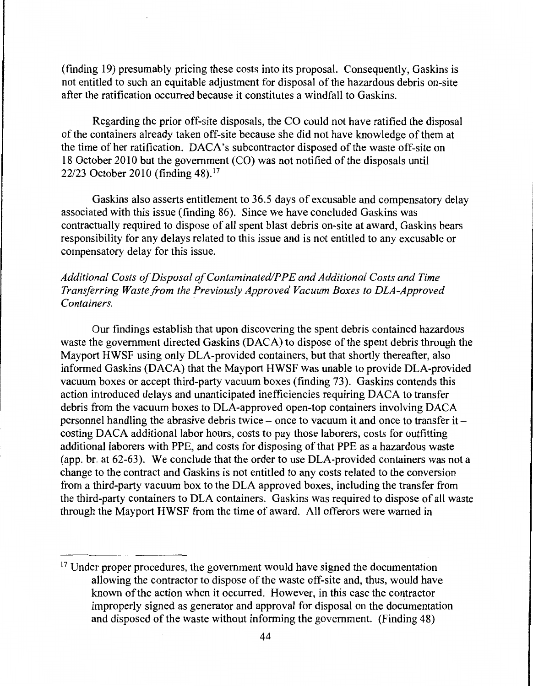(finding 19) presumably pricing these costs into its proposal. Consequently, Gaskins is not entitled to such an equitable adjustment for disposal of the hazardous debris on-site after the ratification occurred because it constitutes a windfall to Gaskins.

Regarding the prior off-site disposals, the CO could not have ratified the disposal of the containers already taken off-site because she did not have knowledge of them at the time of her ratification. DACA's subcontractor disposed of the waste off-site on 18 October 2010 but the government (CO) was not notified of the disposals until 22/23 October 2010 (finding 48). <sup>17</sup>

Gaskins also asserts entitlement to 36.5 days of excusable and compensatory delay associated with this issue (finding 86). Since we have concluded Gaskins was contractually required to dispose of all spent blast debris on-site at award, Gaskins bears responsibility for any delays related to this issue and is not entitled to any excusable or compensatory delay for this issue.

# Additional Costs of Disposal of Contaminated/PPE and Additional Costs and Time *Transferring Waste.from the Previously Approved Vacuum Boxes to DLA-Approved Containers.*

Our findings establish that upon discovering the spent debris contained hazardous waste the government directed Gaskins (DACA) to dispose of the spent debris through the Mayport HWSF using only DLA-provided containers, but that shortly thereafter, also informed Gaskins (DACA) that the Mayport HWSF was unable to provide DLA-provided vacuum boxes or accept third-party vacuum boxes (finding 73). Gaskins contends this action introduced delays and unanticipated inefficiencies requiring DACA to transfer debris from the vacuum boxes to DLA-approved open-top containers involving DACA personnel handling the abrasive debris twice – once to vacuum it and once to transfer it – costing DACA additional labor hours, costs to pay those laborers, costs for outfitting additional laborers with PPE, and costs for disposing of that PPE as a hazardous waste (app. br. at 62-63). We conclude that the order to use DLA-provided containers was not a change to the contract and Gaskins is not entitled to any costs related to the conversion from a third-party vacuum box to the DLA approved boxes, including the transfer from the third-party containers to DLA containers. Gaskins was required to dispose of all waste through the Mayport HWSF from the time of award. All offerors were warned in

<sup>&</sup>lt;sup>17</sup> Under proper procedures, the government would have signed the documentation allowing the contractor to dispose of the waste off-site and, thus, would have known of the action when it occurred. However, in this case the contractor improperly signed as generator and approval for disposal on the documentation and disposed of the waste without informing the government. (Finding 48)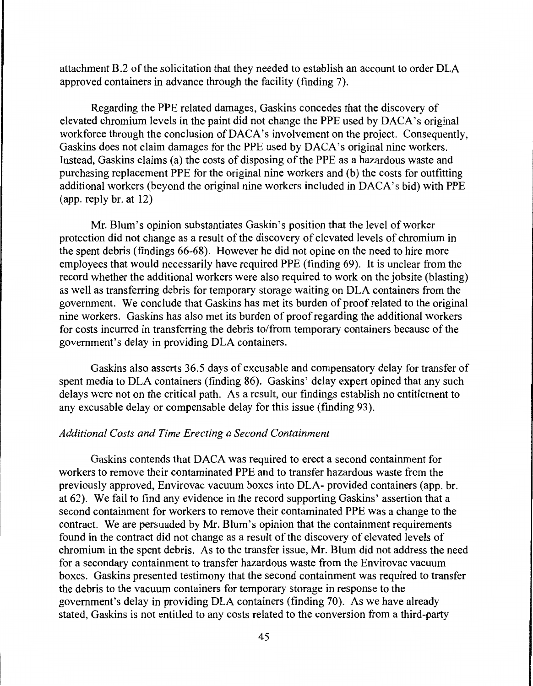attachment B.2 of the solicitation that they needed to establish an account to order DLA approved containers in advance through the facility (finding 7).

Regarding the PPE related damages, Gaskins concedes that the discovery of elevated chromium levels in the paint did not change the PPE used by DACA's original workforce through the conclusion of DACA's involvement on the project. Consequently, Gaskins does not claim damages for the PPE used by DACA's original nine workers. Instead, Gaskins claims (a) the costs of disposing of the PPE as a hazardous waste and purchasing replacement PPE for the original nine workers and (b) the costs for outfitting additional workers (beyond the original nine workers included in DACA's bid) with PPE (app. reply br. at 12)

Mr. Blum's opinion substantiates Gaskin's position that the level of worker protection did not change as a result of the discovery of elevated levels of chromium in the spent debris (findings 66-68). However he did not opine on the need to hire more employees that would necessarily have required PPE (finding 69). It is unclear from the record whether the additional workers were also required to work on the jobsite (blasting) as well as transferring debris for temporary storage waiting on DLA containers from the government. We conclude that Gaskins has met its burden of proof related to the original nine workers. Gaskins has also met its burden of proof regarding the additional workers for costs incurred in transferring the debris to/from temporary containers because of the government's delay in providing DLA containers.

Gaskins also asserts 36.5 days of excusable and compensatory delay for transfer of spent media to DLA containers (finding 86). Gaskins' delay expert opined that any such delays were not on the critical path. As a result, our findings establish no entitlement to any excusable delay or compensable delay for this issue (finding 93).

# *Additional Costs and Time Erecting a Second Containment*

Gaskins contends that DACA was required to erect a second containment for workers to remove their contaminated PPE and to transfer hazardous waste from the previously approved, Envirovac vacuum boxes into DLA- provided containers (app. br. at 62). We fail to find any evidence in the record supporting Gaskins' assertion that a second containment for workers to remove their contaminated PPE was a change to the contract. We are persuaded by Mr. Blum's opinion that the containment requirements found in the contract did not change as a result of the discovery of elevated levels of chromium in the spent debris. As to the transfer issue, Mr. Blum did not address the need for a secondary containment to transfer hazardous waste from the Envirovac vacuum boxes. Gaskins presented testimony that the second containment was required to transfer the debris to the vacuum containers for temporary storage in response to the government's delay in providing DLA containers (finding 70). As we have already stated, Gaskins is not entitled to any costs related to the conversion from a third-party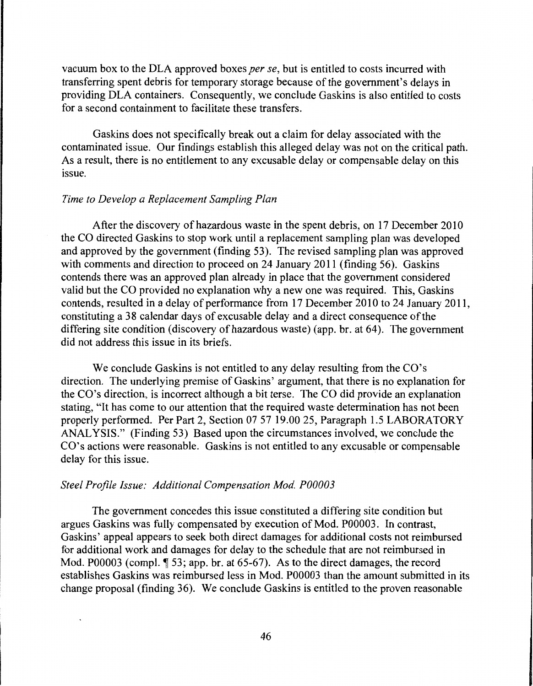vacuum box to the DLA approved boxes *per se,* but is entitled to costs incurred with transferring spent debris for temporary storage because of the government's delays in providing DLA containers. Consequently, we conclude Gaskins is also entitled to costs for a second containment to facilitate these transfers.

Gaskins does not specifically break out a claim for delay associated with the contaminated issue. Our findings establish this alleged delay was not on the critical path. As a result, there is no entitlement to any excusable delay or compensable delay on this issue.

#### *Time to Develop a Replacement Sampling Plan*

After the discovery of hazardous waste in the spent debris, on 17 December 2010 the CO directed Gaskins to stop work until a replacement sampling plan was developed and approved by the government (finding 53). The revised sampling plan was approved with comments and direction to proceed on 24 January 2011 (finding 56). Gaskins contends there was an approved plan already in place that the government considered valid but the CO provided no explanation why a new one was required. This, Gaskins contends, resulted in a delay of performance from 17 December 2010 to 24 January 2011, constituting a 38 calendar days of excusable delay and a direct consequence of the differing site condition (discovery of hazardous waste) (app. br. at 64). The government did not address this issue in its briefs.

We conclude Gaskins is not entitled to any delay resulting from the CO's direction. The underlying premise of Gaskins' argument, that there is no explanation for the CO's direction, is incorrect although a bit terse. The CO did provide an explanation stating, "It has come to our attention that the required waste determination has not been properly performed. Per Part 2, Section 07 57 19.00 25, Paragraph 1.5 LABORATORY ANALYSIS." (Finding 53) Based upon the circumstances involved, we conclude the CO's actions were reasonable. Gaskins is not entitled to any excusable or compensable delay for this issue.

#### *Steel Profile Issue: Additional Compensation Mod. P00003*

The government concedes this issue constituted a differing site condition but argues Gaskins was fully compensated by execution of Mod. P00003. In contrast, Gaskins' appeal appears to seek both direct damages for additional costs not reimbursed for additional work and damages for delay to the schedule that are not reimbursed in Mod. P00003 (compl.  $\P$  53; app. br. at 65-67). As to the direct damages, the record establishes Gaskins was reimbursed less in Mod. P00003 than the amount submitted in its change proposal (finding 36). We conclude Gaskins is entitled to the proven reasonable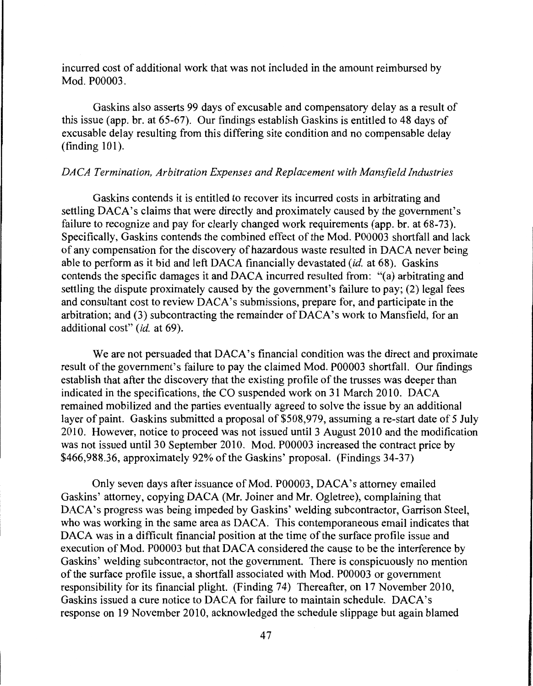incurred cost of additional work that was not included in the amount reimbursed by Mod. P00003.

Gaskins also asserts 99 days of excusable and compensatory delay as a result of this issue (app. br. at 65-67). Our findings establish Gaskins is entitled to 48 days of excusable delay resulting from this differing site condition and no compensable delay (finding 101).

### *DACA Termination, Arbitration Expenses and Replacement with Mansfield Industries*

Gaskins contends it is entitled to recover its incurred costs in arbitrating and settling DACA's claims that were directly and proximately caused by the government's failure to recognize and pay for clearly changed work requirements (app. br. at 68-73). Specifically, Gaskins contends the combined effect of the Mod. P00003 shortfall and lack of any compensation for the discovery of hazardous waste resulted in DACA never being able to perform as it bid and left DACA financially devastated *(id.* at 68). Gaskins contends the specific damages it and DACA incurred resulted from: "(a) arbitrating and settling the dispute proximately caused by the government's failure to pay; (2) legal fees and consultant cost to review DACA's submissions, prepare for, and participate in the arbitration; and (3) subcontracting the remainder of DACA's work to Mansfield, for an additional cost" *(id.* at 69).

We are not persuaded that DACA's financial condition was the direct and proximate result of the government's failure to pay the claimed Mod. P00003 shortfall. Our findings establish that after the discovery that the existing profile of the trusses was deeper than indicated in the specifications, the CO suspended work on 31 March 2010. DACA remained mobilized and the parties eventually agreed to solve the issue by an additional layer of paint. Gaskins submitted a proposal of \$508,979, assuming a re-start date of 5 July 2010. However, notice to proceed was not issued until 3 August 2010 and the modification was not issued until 30 September 2010. Mod. P00003 increased the contract price by \$466,988.36, approximately 92% of the Gaskins' proposal. (Findings 34-37)

Only seven days after issuance of Mod. P00003, DACA's attorney emailed Gaskins' attorney, copying DACA (Mr. Joiner and Mr. Ogletree), complaining that DACA's progress was being impeded by Gaskins' welding subcontractor, Garrison Steel, who was working in the same area as DACA. This contemporaneous email indicates that DACA was in a difficult financial position at the time of the surface profile issue and execution of Mod. P00003 but that DACA considered the cause to be the interference by Gaskins' welding subcontractor, not the government. There is conspicuously no mention of the surface profile issue, a shortfall associated with Mod. P00003 or government responsibility for its financial plight. (Finding 74) Thereafter, on 17 November 2010, Gaskins issued a cure notice to DACA for failure to maintain schedule. DACA's response on 19 November 2010, acknowledged the schedule slippage but again blamed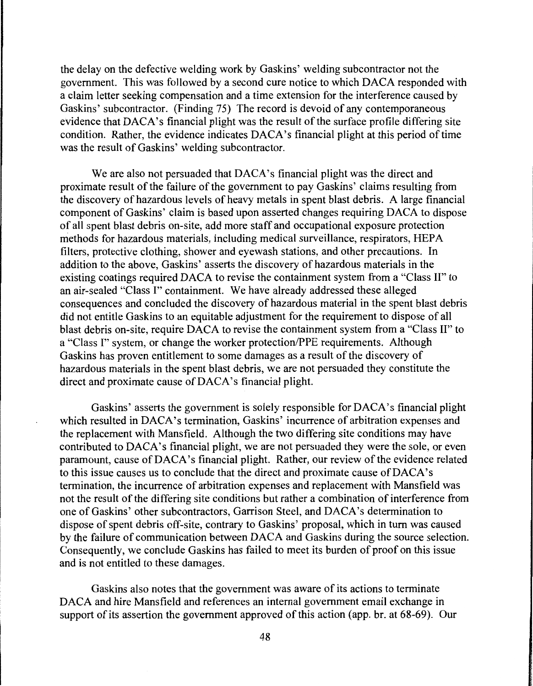the delay on the defective welding work by Gaskins' welding subcontractor not the government. This was followed by a second cure notice to which DACA responded with a claim letter seeking compensation and a time extension for the interference caused by Gaskins' subcontractor. (Finding 75) The record is devoid of any contemporaneous evidence that DACA's financial plight was the result of the surface profile differing site condition. Rather, the evidence indicates DACA's financial plight at this period of time was the result of Gaskins' welding subcontractor.

We are also not persuaded that DACA's financial plight was the direct and proximate result of the failure of the government to pay Gaskins' claims resulting from the discovery of hazardous levels of heavy metals in spent blast debris. A large financial component of Gaskins' claim is based upon asserted changes requiring DACA to dispose of all spent blast debris on-site, add more staff and occupational exposure protection methods for hazardous materials, including medical surveillance, respirators, HEP A filters, protective clothing, shower and eyewash stations, and other precautions. In addition to the above, Gaskins' asserts the discovery of hazardous materials in the existing coatings required DACA to revise the containment system from a "Class II" to an air-sealed "Class I" containment. We have already addressed these alleged consequences and concluded the discovery of hazardous material in the spent blast debris did not entitle Gaskins to an equitable adjustment for the requirement to dispose of all blast debris on-site, require DACA to revise the containment system from a "Class II" to a "Class I" system, or change the worker protection/PPE requirements. Although Gaskins has proven entitlement to some damages as a result of the discovery of hazardous materials in the spent blast debris, we are not persuaded they constitute the direct and proximate cause of DACA's financial plight.

Gaskins' asserts the government is solely responsible for DACA's financial plight which resulted in DACA's termination, Gaskins' incurrence of arbitration expenses and the replacement with Mansfield. Although the two differing site conditions may have contributed to DACA's financial plight, we are not persuaded they were the sole, or even paramount, cause ofDACA's financial plight. Rather, our review of the evidence related to this issue causes us to conclude that the direct and proximate cause of DACA's termination, the incurrence of arbitration expenses and replacement with Mansfield was not the result of the differing site conditions but rather a combination of interference from one of Gaskins' other subcontractors, Garrison Steel, and DACA's determination to dispose of spent debris off-site, contrary to Gaskins' proposal, which in turn was caused by the failure of communication between DACA and Gaskins during the source selection. Consequently, we conclude Gaskins has failed to meet its burden of proof on this issue and is not entitled to these damages.

Gaskins also notes that the government was aware of its actions to terminate DACA and hire Mansfield and references an internal government email exchange in support of its assertion the government approved of this action (app. br. at 68-69). Our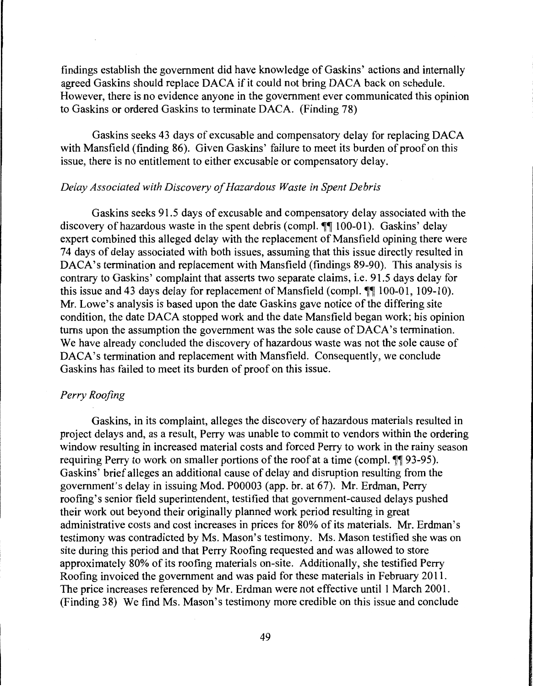findings establish the government did have knowledge of Gaskins' actions and internally agreed Gaskins should replace DACA if it could not bring DACA back on schedule. However, there is no evidence anyone in the government ever communicated this opinion to Gaskins or ordered Gaskins to terminate DACA. (Finding 78)

Gaskins seeks 43 days of excusable and compensatory delay for replacing DACA with Mansfield (finding 86). Given Gaskins' failure to meet its burden of proof on this issue, there is no entitlement to either excusable or compensatory delay.

## *Delay Associated with Discovery of Hazardous Waste in Spent Debris*

Gaskins seeks 91.5 days of excusable and compensatory delay associated with the discovery of hazardous waste in the spent debris (compl.  $\P\P$  100-01). Gaskins' delay expert combined this alleged delay with the replacement of Mansfield opining there were 7 4 days of delay associated with both issues, assuming that this issue directly resulted in DACA's termination and replacement with Mansfield (findings 89-90). This analysis is contrary to Gaskins' complaint that asserts two separate claims, i.e. 91.5 days delay for this issue and 43 days delay for replacement of Mansfield (compl.  $\P\P$  100-01, 109-10). Mr. Lowe's analysis is based upon the date Gaskins gave notice of the differing site condition, the date DACA stopped work and the date Mansfield began work; his opinion turns upon the assumption the government was the sole cause of DACA's termination. We have already concluded the discovery of hazardous waste was not the sole cause of DACA's termination and replacement with Mansfield. Consequently, we conclude Gaskins has failed to meet its burden of proof on this issue.

# *Perry Roofing*

Gaskins, in its complaint, alleges the discovery of hazardous materials resulted in project delays and, as a result, Perry was unable to commit to vendors within the ordering window resulting in increased material costs and forced Perry to work in the rainy season requiring Perry to work on smaller portions of the roof at a time (compl.  $\P$  $93-95$ ). Gaskins' brief alleges an additional cause of delay and disruption resulting from the government's delay in issuing Mod. P00003 (app. br. at 67). Mr. Erdman, Perry roofing's senior field superintendent, testified that government-caused delays pushed their work out beyond their originally planned work period resulting in great administrative costs and cost increases in prices for 80% of its materials. Mr. Erdman's testimony was contradicted by Ms. Mason's testimony. Ms. Mason testified she was on site during this period and that Perry Roofing requested and was allowed to store approximately 80% of its roofing materials on-site. Additionally, she testified Perry Roofing invoiced the government and was paid for these materials in February 2011. The price increases referenced by Mr. Erdman were not effective until 1 March 2001. (Finding 38) We find Ms. Mason's testimony more credible on this issue and conclude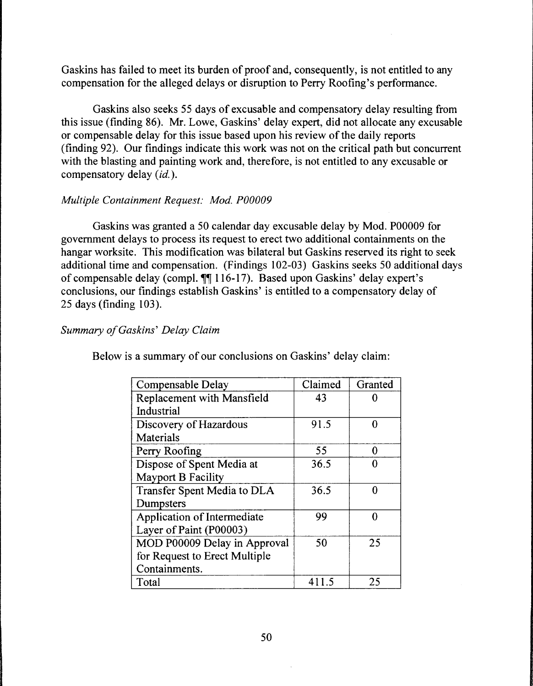Gaskins has failed to meet its burden of proof and, consequently, is not entitled to any compensation for the alleged delays or disruption to Perry Roofing's performance.

Gaskins also seeks 55 days of excusable and compensatory delay resulting from this issue (finding 86). Mr. Lowe, Gaskins' delay expert, did not allocate any excusable or compensable delay for this issue based upon his review of the daily reports (finding 92). Our findings indicate this work was not on the critical path but concurrent with the blasting and painting work and, therefore, is not entitled to any excusable or compensatory delay *(id.).* 

## *Multiple Containment Request: Mod. P00009*

Gaskins was granted a 50 calendar day excusable delay by Mod. P00009 for government delays to process its request to erect two additional containments on the hangar worksite. This modification was bilateral but Gaskins reserved its right to seek additional time and compensation. (Findings 102-03) Gaskins seeks 50 additional days of compensable delay (compl.  $\P\P$  116-17). Based upon Gaskins' delay expert's conclusions, our findings establish Gaskins' is entitled to a compensatory delay of 25 days (finding 103).

# *Summary of Gaskins' Delay Claim*

| Compensable Delay                 | Claimed | Granted |
|-----------------------------------|---------|---------|
| <b>Replacement with Mansfield</b> | 43      |         |
| Industrial                        |         |         |
| Discovery of Hazardous            | 91.5    | U       |
| Materials                         |         |         |
| Perry Roofing                     | 55      | O       |
| Dispose of Spent Media at         | 36.5    |         |
| <b>Mayport B Facility</b>         |         |         |
| Transfer Spent Media to DLA       | 36.5    | 0       |
| Dumpsters                         |         |         |
| Application of Intermediate       | 99      |         |
| Layer of Paint (P00003)           |         |         |
| MOD P00009 Delay in Approval      | 50      | 25      |
| for Request to Erect Multiple     |         |         |
| Containments.                     |         |         |
| Total                             | 411.5   | 25      |

Below is a summary of our conclusions on Gaskins' delay claim: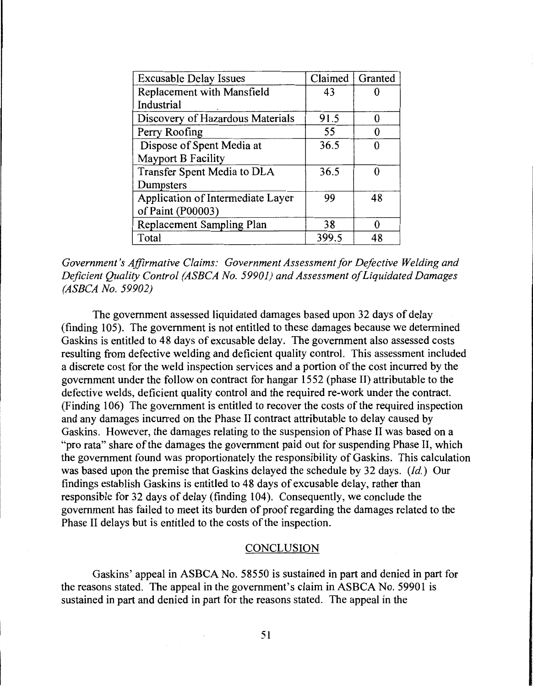| <b>Excusable Delay Issues</b>     | Claimed | Granted |
|-----------------------------------|---------|---------|
| Replacement with Mansfield        | 43      |         |
| Industrial                        |         |         |
| Discovery of Hazardous Materials  | 91.5    | 0       |
| Perry Roofing                     | 55      |         |
| Dispose of Spent Media at         | 36.5    | Ω       |
| <b>Mayport B Facility</b>         |         |         |
| Transfer Spent Media to DLA       | 36.5    | ∩       |
| Dumpsters                         |         |         |
| Application of Intermediate Layer | 99      | 48      |
| of Paint (P00003)                 |         |         |
| Replacement Sampling Plan         | 38      | 0       |
| Total                             | 399.5   | 48      |

*Government's Affirmative Claims: Government Assessment for Defective Welding and Deficient Quality Control (ASBCA No. 59901) and Assessment of Liquidated Damages (ASBCA No. 59902)* 

The government assessed liquidated damages based upon 32 days of delay (finding 105). The government is not entitled to these damages because we determined Gaskins is entitled to 48 days of excusable delay. The government also assessed costs resulting from defective welding and deficient quality control. This assessment included a discrete cost for the weld inspection services and a portion of the cost incurred by the government under the follow on contract for hangar 1552 (phase II) attributable to the defective welds, deficient quality control and the required re-work under the contract. (Finding 106) The government is entitled to recover the costs of the required inspection and any damages incurred on the Phase II contract attributable to delay caused by Gaskins. However, the damages relating to the suspension of Phase II was based on a "pro rata" share of the damages the government paid out for suspending Phase II, which the government found was proportionately the responsibility of Gaskins. This calculation was based upon the premise that Gaskins delayed the schedule by 32 days. *(Id.)* Our findings establish Gaskins is entitled to 48 days of excusable delay, rather than responsible for 32 days of delay (finding 104). Consequently, we conclude the government has failed to meet its burden of proof regarding the damages related to the Phase II delays but is entitled to the costs of the inspection.

#### **CONCLUSION**

Gaskins' appeal in ASBCA No. 58550 is sustained in part and denied in part for the reasons stated. The appeal in the government's claim in ASBCA No. 59901 is sustained in part and denied in part for the reasons stated. The appeal in the